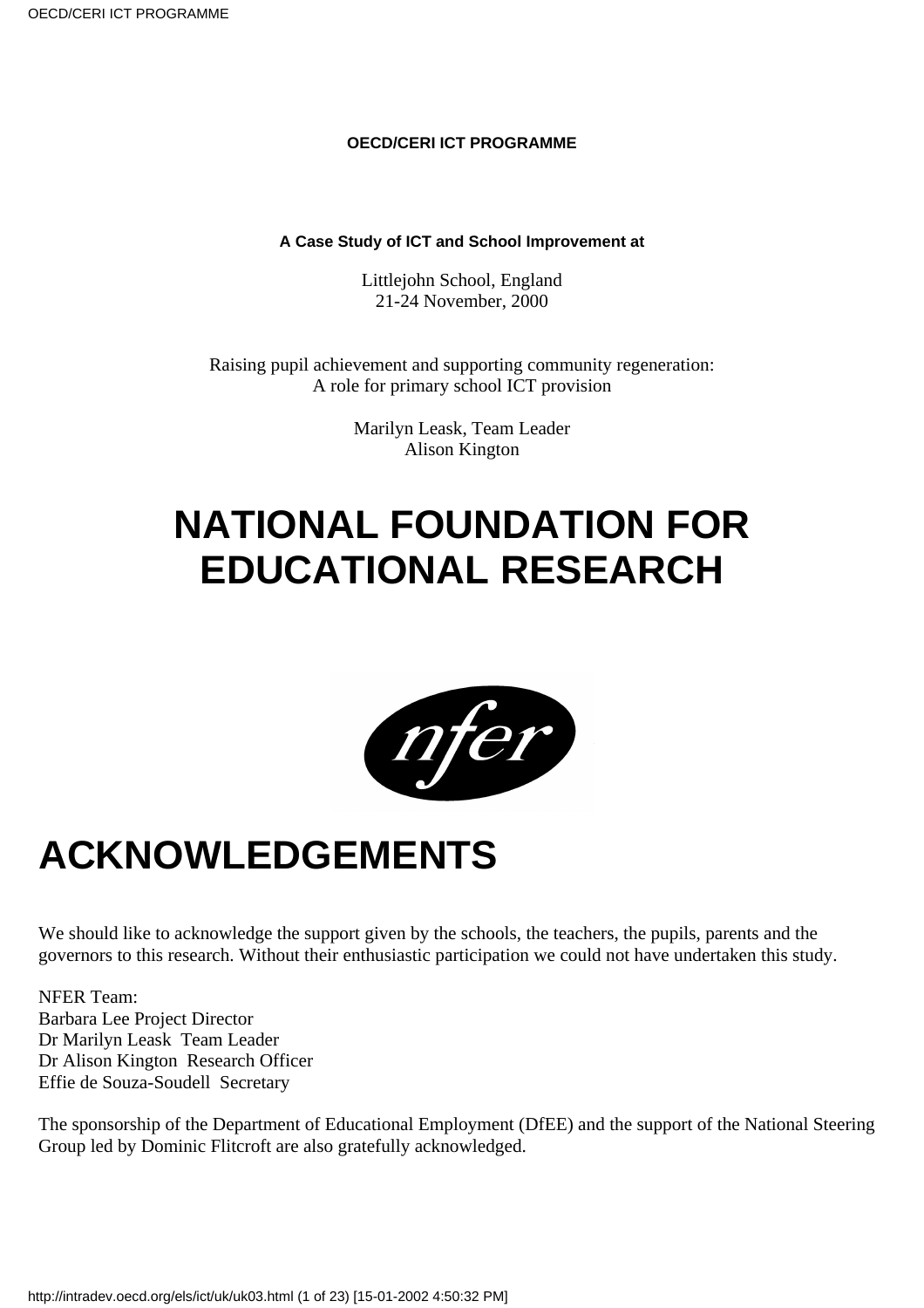#### **OECD/CERI ICT PROGRAMME**

#### **A Case Study of ICT and School Improvement at**

Littlejohn School, England 21-24 November, 2000

Raising pupil achievement and supporting community regeneration: A role for primary school ICT provision

> Marilyn Leask, Team Leader Alison Kington

## **NATIONAL FOUNDATION FOR EDUCATIONAL RESEARCH**



### **ACKNOWLEDGEMENTS**

We should like to acknowledge the support given by the schools, the teachers, the pupils, parents and the governors to this research. Without their enthusiastic participation we could not have undertaken this study.

NFER Team: Barbara Lee Project Director Dr Marilyn Leask Team Leader Dr Alison Kington Research Officer Effie de Souza-Soudell Secretary

The sponsorship of the Department of Educational Employment (DfEE) and the support of the National Steering Group led by Dominic Flitcroft are also gratefully acknowledged.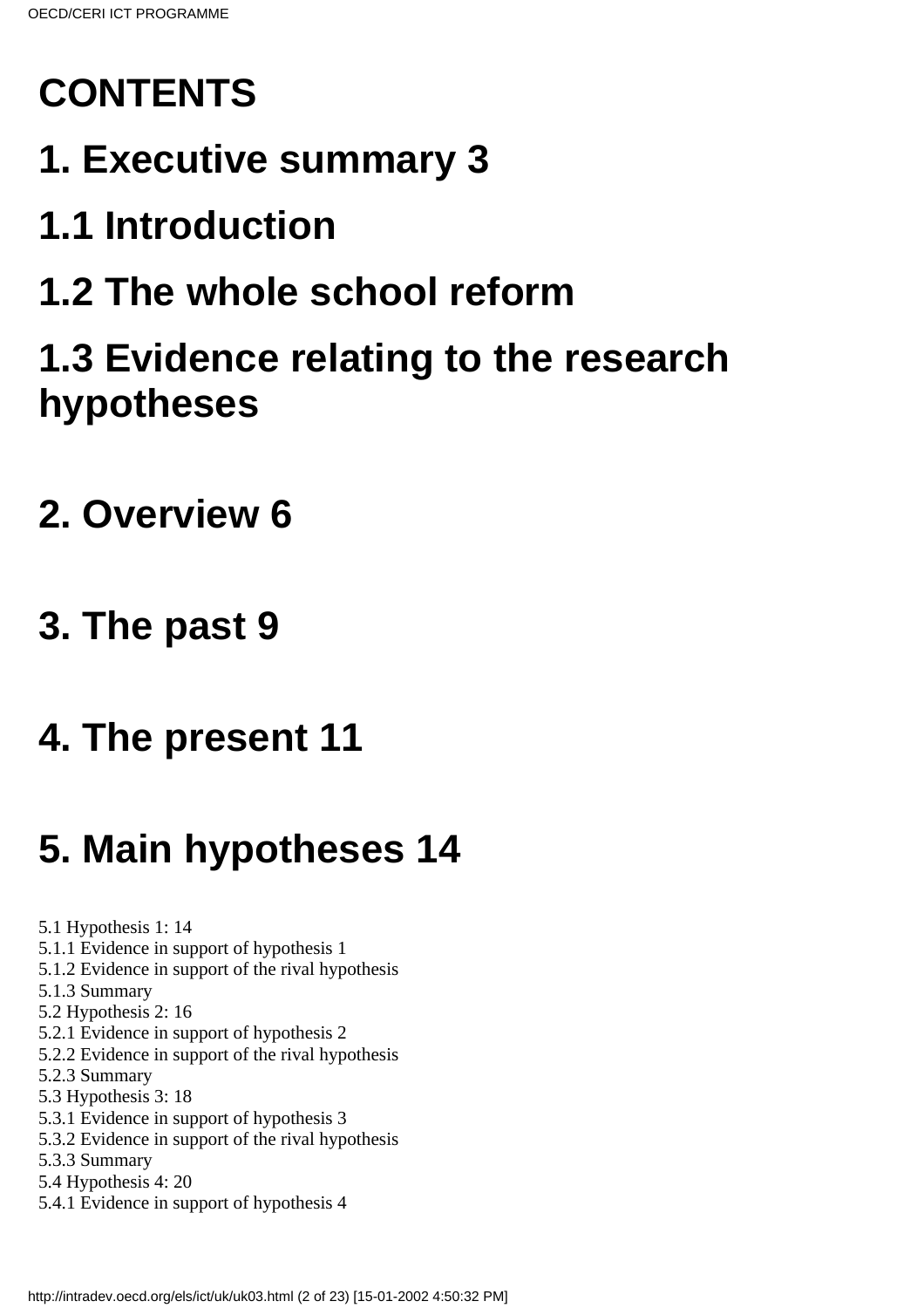# **CONTENTS**

## **1. Executive summary 3**

# **1.1 Introduction**

## **1.2 The whole school reform**

### **1.3 Evidence relating to the research hypotheses**

### **2. Overview 6**

### **3. The past 9**

### **4. The present 11**

# **5. Main hypotheses 14**

5.1 Hypothesis 1: 14

- 5.1.1 Evidence in support of hypothesis 1
- 5.1.2 Evidence in support of the rival hypothesis
- 5.1.3 Summary
- 5.2 Hypothesis 2: 16
- 5.2.1 Evidence in support of hypothesis 2
- 5.2.2 Evidence in support of the rival hypothesis
- 5.2.3 Summary
- 5.3 Hypothesis 3: 18
- 5.3.1 Evidence in support of hypothesis 3
- 5.3.2 Evidence in support of the rival hypothesis
- 5.3.3 Summary
- 5.4 Hypothesis 4: 20
- 5.4.1 Evidence in support of hypothesis 4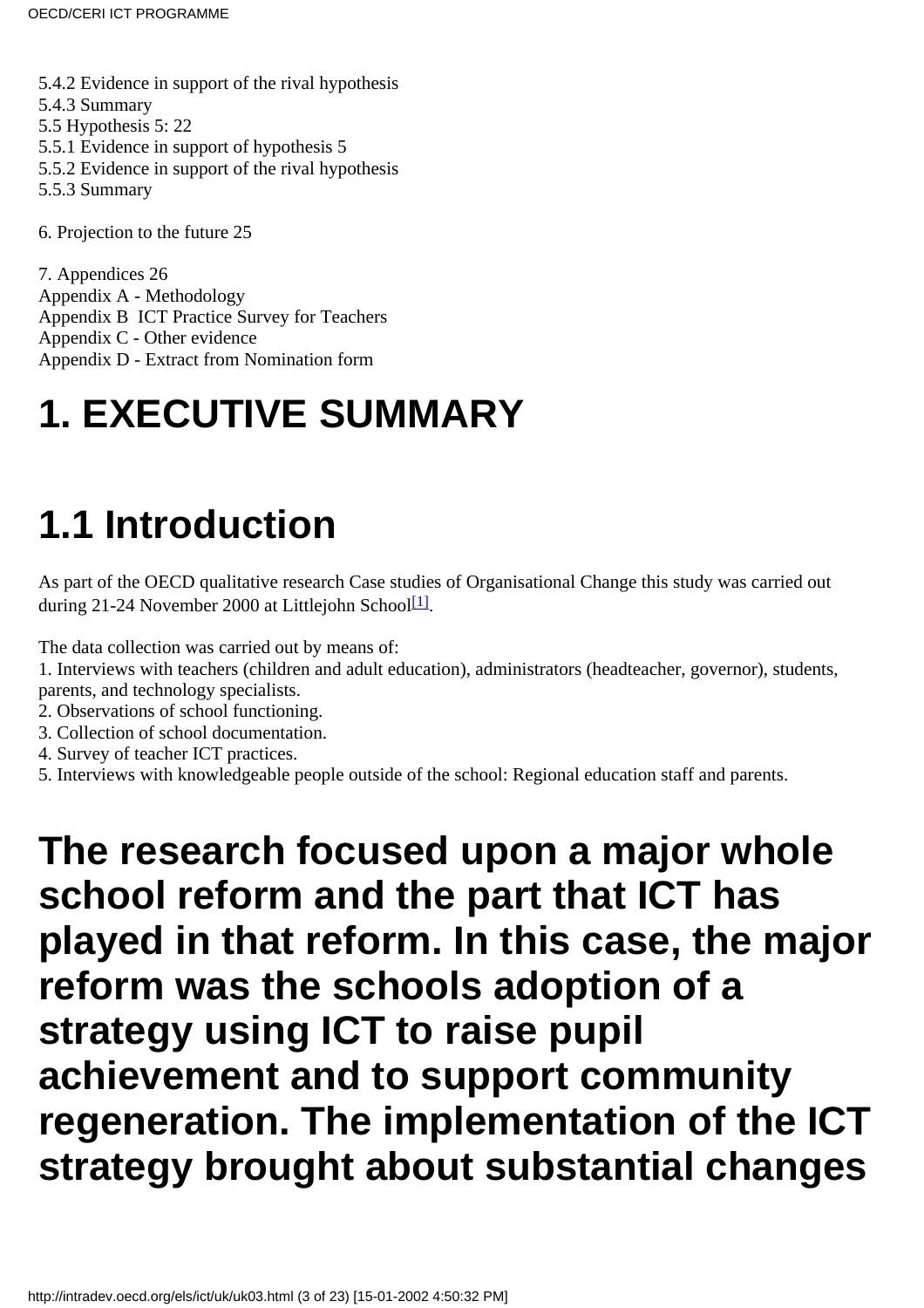5.4.2 Evidence in support of the rival hypothesis 5.4.3 Summary 5.5 Hypothesis 5: 22 5.5.1 Evidence in support of hypothesis 5 5.5.2 Evidence in support of the rival hypothesis 5.5.3 Summary

6. Projection to the future 25

7. Appendices 26 Appendix A - Methodology Appendix B ICT Practice Survey for Teachers Appendix C - Other evidence Appendix D - Extract from Nomination form

## **1. EXECUTIVE SUMMARY**

## **1.1 Introduction**

<span id="page-2-0"></span>As part of the OECD qualitative research Case studies of Organisational Change this study was carried out during 21-24 November 2000 at Littlejohn School<sup>[1]</sup>.

The data collection was carried out by means of:

1. Interviews with teachers (children and adult education), administrators (headteacher, governor), students, parents, and technology specialists.

2. Observations of school functioning.

3. Collection of school documentation.

4. Survey of teacher ICT practices.

5. Interviews with knowledgeable people outside of the school: Regional education staff and parents.

**The research focused upon a major whole school reform and the part that ICT has played in that reform. In this case, the major** reform was the school s adoption of a **strategy using ICT to raise pupil achievement and to support community regeneration. The implementation of the ICT strategy brought about substantial changes**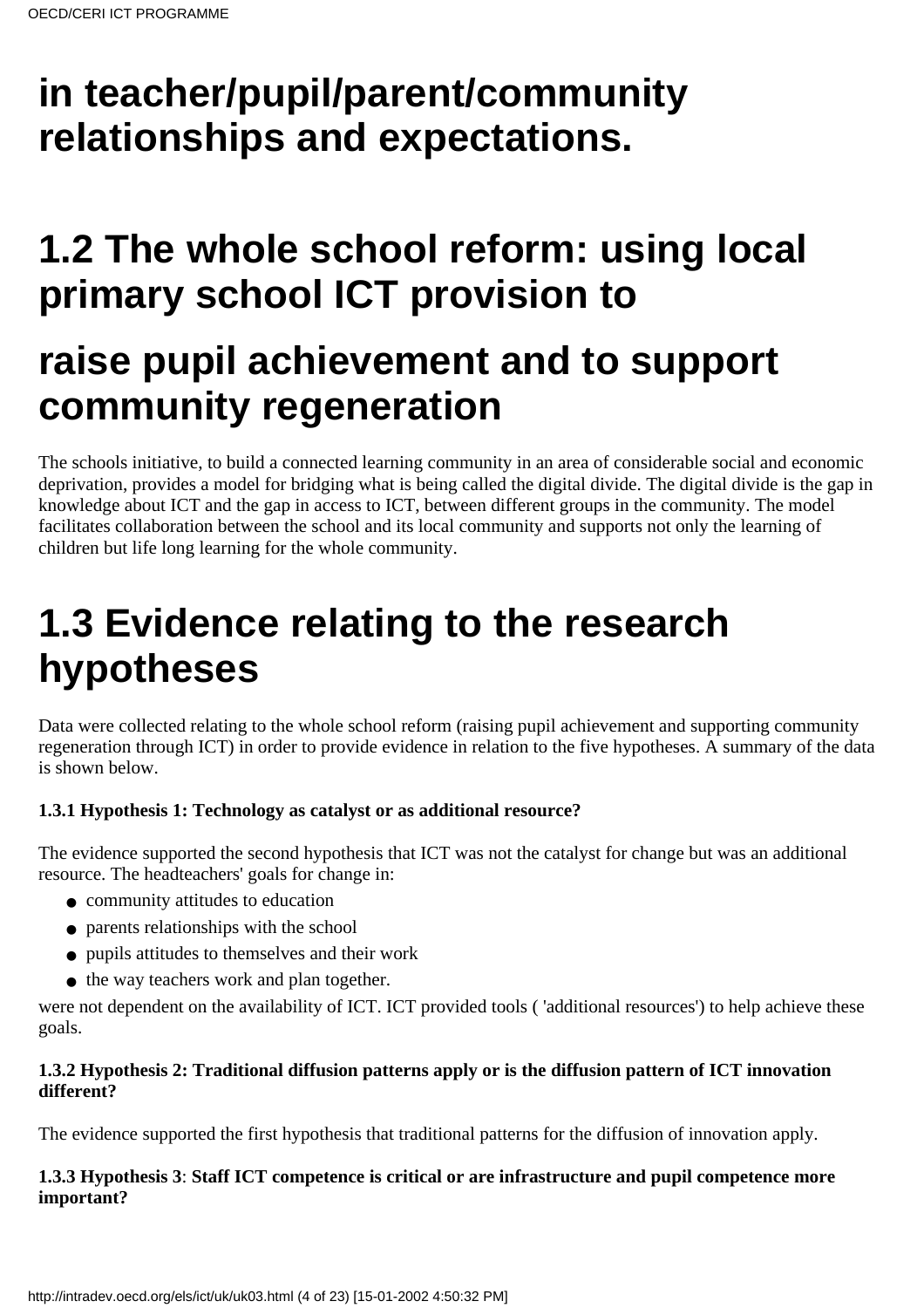### **in teacher/pupil/parent/community relationships and expectations.**

### **1.2 The whole school reform: using local primary school ICT provision to**

### **raise pupil achievement and to support community regeneration**

The school s initiative, to build a connected learning community in an area of considerable social and economic deprivation, provides a model for bridging what is being called the digital divide. The digital divide is the gap in knowledge about ICT and the gap in access to ICT, between different groups in the community. The model facilitates collaboration between the school and its local community and supports not only the learning of children but life long learning for the whole community.

### **1.3 Evidence relating to the research hypotheses**

Data were collected relating to the whole school reform (raising pupil achievement and supporting community regeneration through ICT) in order to provide evidence in relation to the five hypotheses. A summary of the data is shown below.

#### **1.3.1 Hypothesis 1: Technology as catalyst or as additional resource?**

The evidence supported the second hypothesis that ICT was not the catalyst for change but was an additional resource. The headteachers' goals for change in:

- community attitudes to education
- parents relationships with the school
- pupils attitudes to themselves and their work
- the way teachers work and plan together.

were not dependent on the availability of ICT. ICT provided tools ( 'additional resources') to help achieve these goals.

#### **1.3.2 Hypothesis 2: Traditional diffusion patterns apply or is the diffusion pattern of ICT innovation different?**

The evidence supported the first hypothesis that traditional patterns for the diffusion of innovation apply.

#### **1.3.3 Hypothesis 3**: **Staff ICT competence is critical or are infrastructure and pupil competence more important?**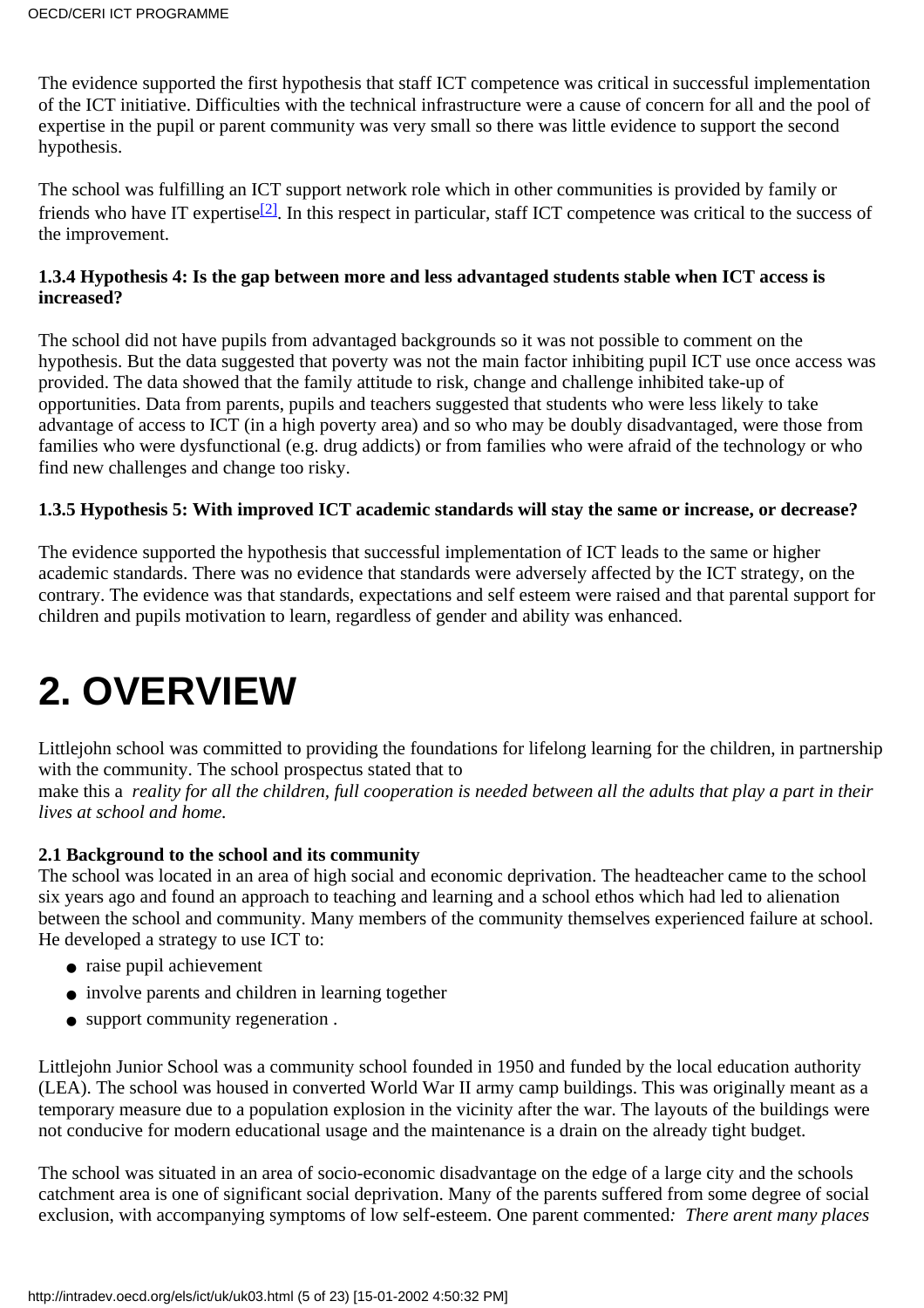The evidence supported the first hypothesis that staff ICT competence was critical in successful implementation of the ICT initiative. Difficulties with the technical infrastructure were a cause of concern for all and the pool of expertise in the pupil or parent community was very small so there was little evidence to support the second hypothesis.

<span id="page-4-0"></span>The school was fulfilling an ICT support network role which in other communities is provided by family or friends who have IT expertise<sup>[2]</sup>. In this respect in particular, staff ICT competence was critical to the success of the improvement.

#### **1.3.4 Hypothesis 4: Is the gap between more and less advantaged students stable when ICT access is increased?**

The school did not have pupils from advantaged backgrounds so it was not possible to comment on the hypothesis. But the data suggested that poverty was not the main factor inhibiting pupil ICT use once access was provided. The data showed that the family attitude to risk, change and challenge inhibited take-up of opportunities. Data from parents, pupils and teachers suggested that students who were less likely to take advantage of access to ICT (in a high poverty area) and so who may be doubly disadvantaged, were those from families who were dysfunctional (e.g. drug addicts) or from families who were afraid of the technology or who find new challenges and change too risky.

#### **1.3.5 Hypothesis 5: With improved ICT academic standards will stay the same or increase, or decrease?**

The evidence supported the hypothesis that successful implementation of ICT leads to the same or higher academic standards. There was no evidence that standards were adversely affected by the ICT strategy, on the contrary. The evidence was that standards, expectations and self esteem were raised and that parental support for children and pupils motivation to learn, regardless of gender and ability was enhanced.

### **2. OVERVIEW**

Littlejohn school was committed to providing the foundations for lifelong learning for the children, in partnership with the community. The school prospectus stated that to

make this a *reality for all the children, full cooperation is needed between all the adults that play a part in their lives at school and home.*

#### **2.1 Background to the school and its community**

The school was located in an area of high social and economic deprivation. The headteacher came to the school six years ago and found an approach to teaching and learning and a school ethos which had led to alienation between the school and community. Many members of the community themselves experienced failure at school. He developed a strategy to use ICT to:

- raise pupil achievement
- involve parents and children in learning together
- support community regeneration .

Littlejohn Junior School was a community school founded in 1950 and funded by the local education authority (LEA). The school was housed in converted World War II army camp buildings. This was originally meant as a temporary measure due to a population explosion in the vicinity after the war. The layouts of the buildings were not conducive for modern educational usage and the maintenance is a drain on the already tight budget.

The school was situated in an area of socio-economic disadvantage on the edge of a large city and the schools catchment area is one of significant social deprivation. Many of the parents suffered from some degree of social exclusion, with accompanying symptoms of low self-esteem. One parent commented*: There arent many places*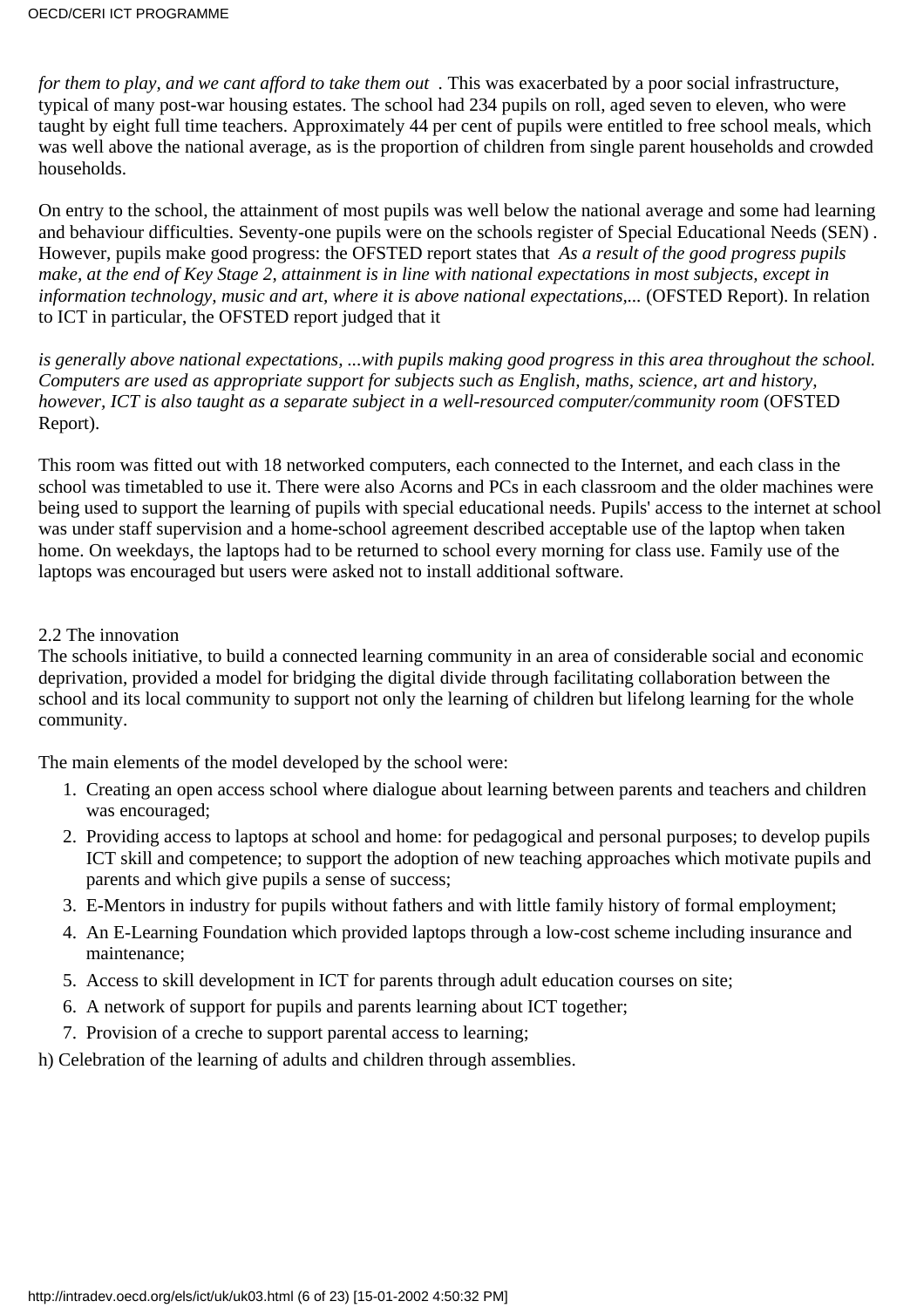*for them to play, and we cant afford to take them out .* This was exacerbated by a poor social infrastructure, typical of many post-war housing estates. The school had 234 pupils on roll, aged seven to eleven, who were taught by eight full time teachers. Approximately 44 per cent of pupils were entitled to free school meals, which was well above the national average, as is the proportion of children from single parent households and crowded households.

On entry to the school, the attainment of most pupils was well below the national average and some had learning and behaviour difficulties. Seventy-one pupils were on the schools register of Special Educational Needs (SEN)*.* However, pupils make good progress: the OFSTED report states that *As a result of the good progress pupils make, at the end of Key Stage 2, attainment is in line with national expectations in most subjects, except in information technology, music and art, where it is above national expectations,...* (OFSTED Report). In relation to ICT in particular, the OFSTED report judged that it

*is generally above national expectations, ...with pupils making good progress in this area throughout the school. Computers are used as appropriate support for subjects such as English, maths, science, art and history, however, ICT is also taught as a separate subject in a well-resourced computer/community room* (OFSTED Report).

This room was fitted out with 18 networked computers, each connected to the Internet, and each class in the school was timetabled to use it. There were also Acorns and PCs in each classroom and the older machines were being used to support the learning of pupils with special educational needs. Pupils' access to the internet at school was under staff supervision and a home-school agreement described acceptable use of the laptop when taken home. On weekdays, the laptops had to be returned to school every morning for class use. Family use of the laptops was encouraged but users were asked not to install additional software.

#### 2.2 The innovation

The schools initiative, to build a connected learning community in an area of considerable social and economic deprivation, provided a model for bridging the digital divide through facilitating collaboration between the school and its local community to support not only the learning of children but lifelong learning for the whole community.

The main elements of the model developed by the school were:

- 1. Creating an open access school where dialogue about learning between parents and teachers and children was encouraged;
- 2. Providing access to laptops at school and home: for pedagogical and personal purposes; to develop pupils ICT skill and competence; to support the adoption of new teaching approaches which motivate pupils and parents and which give pupils a sense of success;
- 3. E-Mentors in industry for pupils without fathers and with little family history of formal employment;
- An E-Learning Foundation which provided laptops through a low-cost scheme including insurance and 4. maintenance;
- 5. Access to skill development in ICT for parents through adult education courses on site;
- A network of support for pupils and parents learning about ICT together;6.
- 7. Provision of a creche to support parental access to learning;
- h) Celebration of the learning of adults and children through assemblies.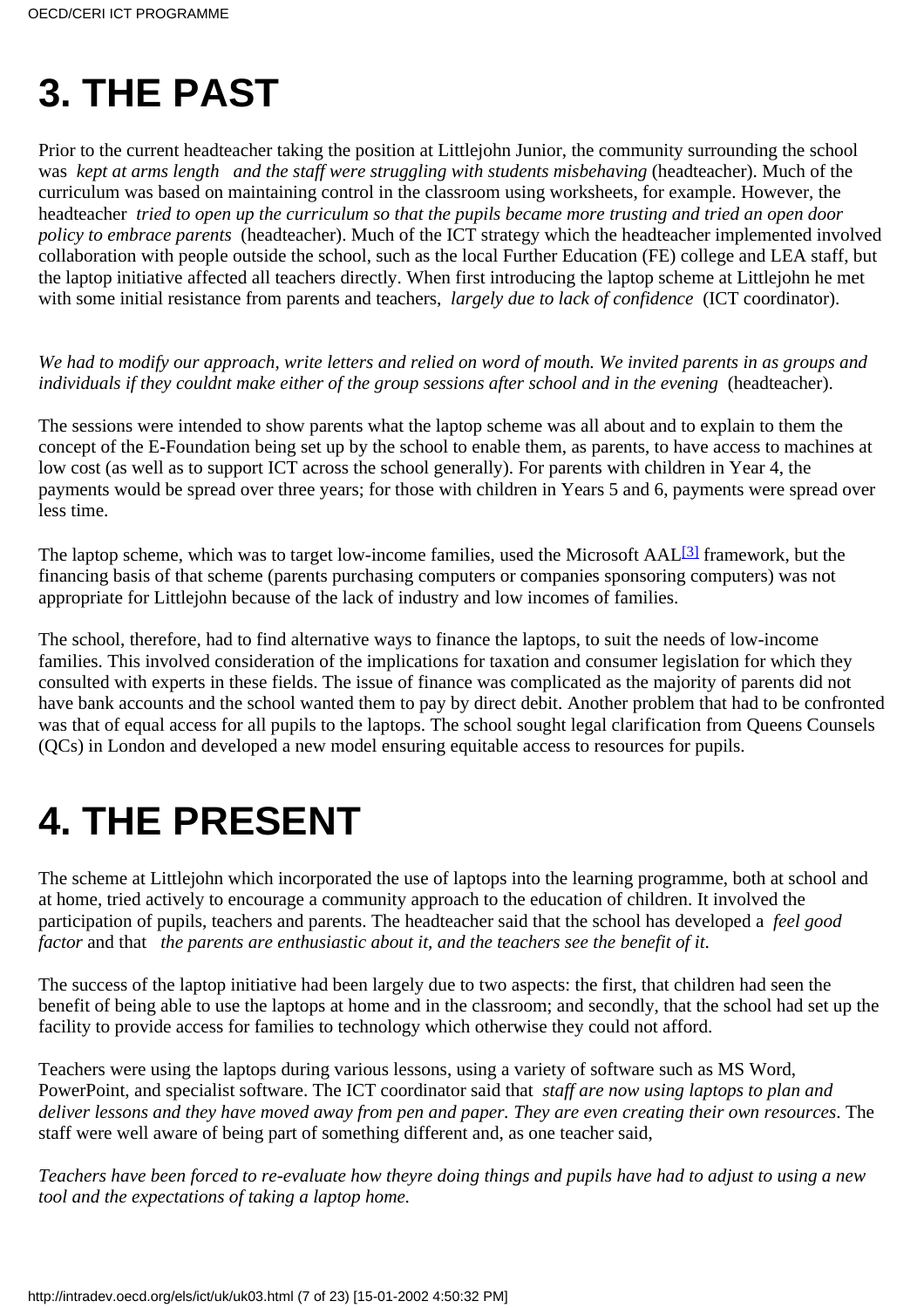### **3. THE PAST**

Prior to the current headteacher taking the position at Littlejohn Junior, the community surrounding the school was *kept at arms length and the staff were struggling with students misbehaving* (headteacher). Much of the curriculum was based on maintaining control in the classroom using worksheets, for example. However, the headteacher *tried to open up the curriculum so that the pupils became more trusting and tried an open door policy to embrace parents* (headteacher). Much of the ICT strategy which the headteacher implemented involved collaboration with people outside the school, such as the local Further Education (FE) college and LEA staff, but the laptop initiative affected all teachers directly. When first introducing the laptop scheme at Littlejohn he met with some initial resistance from parents and teachers, *largely due to lack of confidence* (ICT coordinator).

*We had to modify our approach, write letters and relied on word of mouth. We invited parents in as groups and individuals if they couldn t make either of the group sessions after school and in the evening (headteacher).* 

The sessions were intended to show parents what the laptop scheme was all about and to explain to them the concept of the E-Foundation being set up by the school to enable them, as parents, to have access to machines at low cost (as well as to support ICT across the school generally). For parents with children in Year 4, the payments would be spread over three years; for those with children in Years 5 and 6, payments were spread over less time.

<span id="page-6-0"></span>The laptop scheme, which was to target low-income families, used the Microsoft AAL<sup>[\[3\]](#page-22-2)</sup> framework, but the financing basis of that scheme (parents purchasing computers or companies sponsoring computers) was not appropriate for Littlejohn because of the lack of industry and low incomes of families.

The school, therefore, had to find alternative ways to finance the laptops, to suit the needs of low-income families. This involved consideration of the implications for taxation and consumer legislation for which they consulted with experts in these fields. The issue of finance was complicated as the majority of parents did not have bank accounts and the school wanted them to pay by direct debit. Another problem that had to be confronted was that of equal access for all pupils to the laptops. The school sought legal clarification from Queen s Counsels (QCs) in London and developed a new model ensuring equitable access to resources for pupils.

### **4. THE PRESENT**

The scheme at Littlejohn which incorporated the use of laptops into the learning programme, both at school and at home, tried actively to encourage a community approach to the education of children. It involved the participation of pupils, teachers and parents. The headteacher said that the school has developed a *feel good factor* and that *the parents are enthusiastic about it, and the teachers see the benefit of it*.

The success of the laptop initiative had been largely due to two aspects: the first, that children had seen the benefit of being able to use the laptops at home and in the classroom; and secondly, that the school had set up the facility to provide access for families to technology which otherwise they could not afford.

Teachers were using the laptops during various lessons, using a variety of software such as MS Word, PowerPoint, and specialist software. The ICT coordinator said that *staff are now using laptops to plan and deliver lessons and they have moved away from pen and paper. They are even creating their own resources*. The staff were well aware of being part of something different and, as one teacher said,

*Teachers have been forced to re-evaluate how theyre doing things and pupils have had to adjust to using a new tool and the expectations of taking a laptop home.*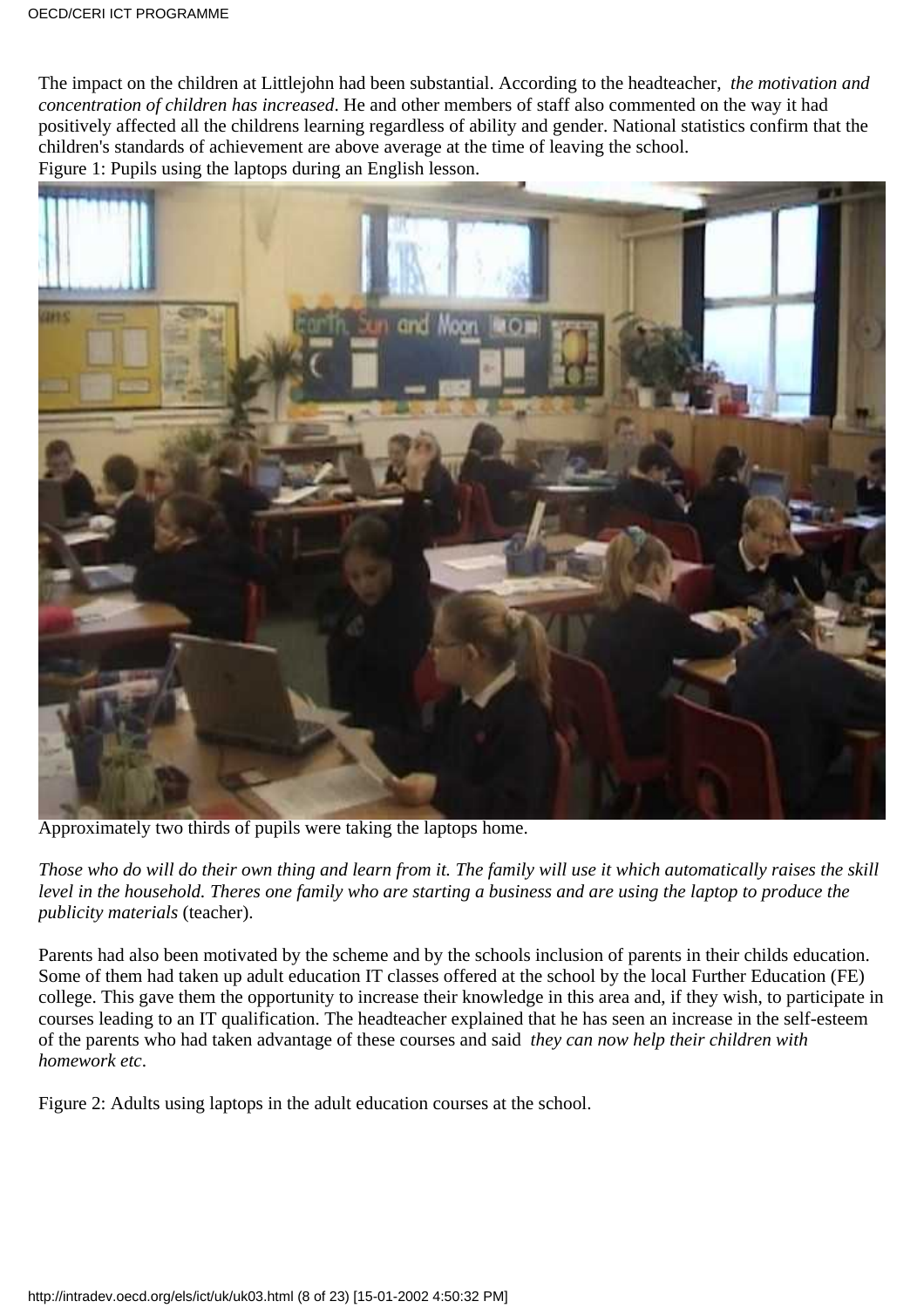The impact on the children at Littlejohn had been substantial. According to the headteacher, *the motivation and concentration of children has increased*. He and other members of staff also commented on the way it had positively affected all the children s learning regardless of ability and gender. National statistics confirm that the children's standards of achievement are above average at the time of leaving the school. Figure 1: Pupils using the laptops during an English lesson.



Approximately two thirds of pupils were taking the laptops home.

*Those who do will do their own thing and learn from it. The family will use it which automatically raises the skill level in the household. There s one family who are starting a business and are using the laptop to produce the publicity materials* (teacher).

Parents had also been motivated by the scheme and by the school s inclusion of parents in their child s education. Some of them had taken up adult education IT classes offered at the school by the local Further Education (FE) college. This gave them the opportunity to increase their knowledge in this area and, if they wish, to participate in courses leading to an IT qualification. The headteacher explained that he has seen an increase in the self-esteem of the parents who had taken advantage of these courses and said *they can now help their children with homework etc*.

Figure 2: Adults using laptops in the adult education courses at the school.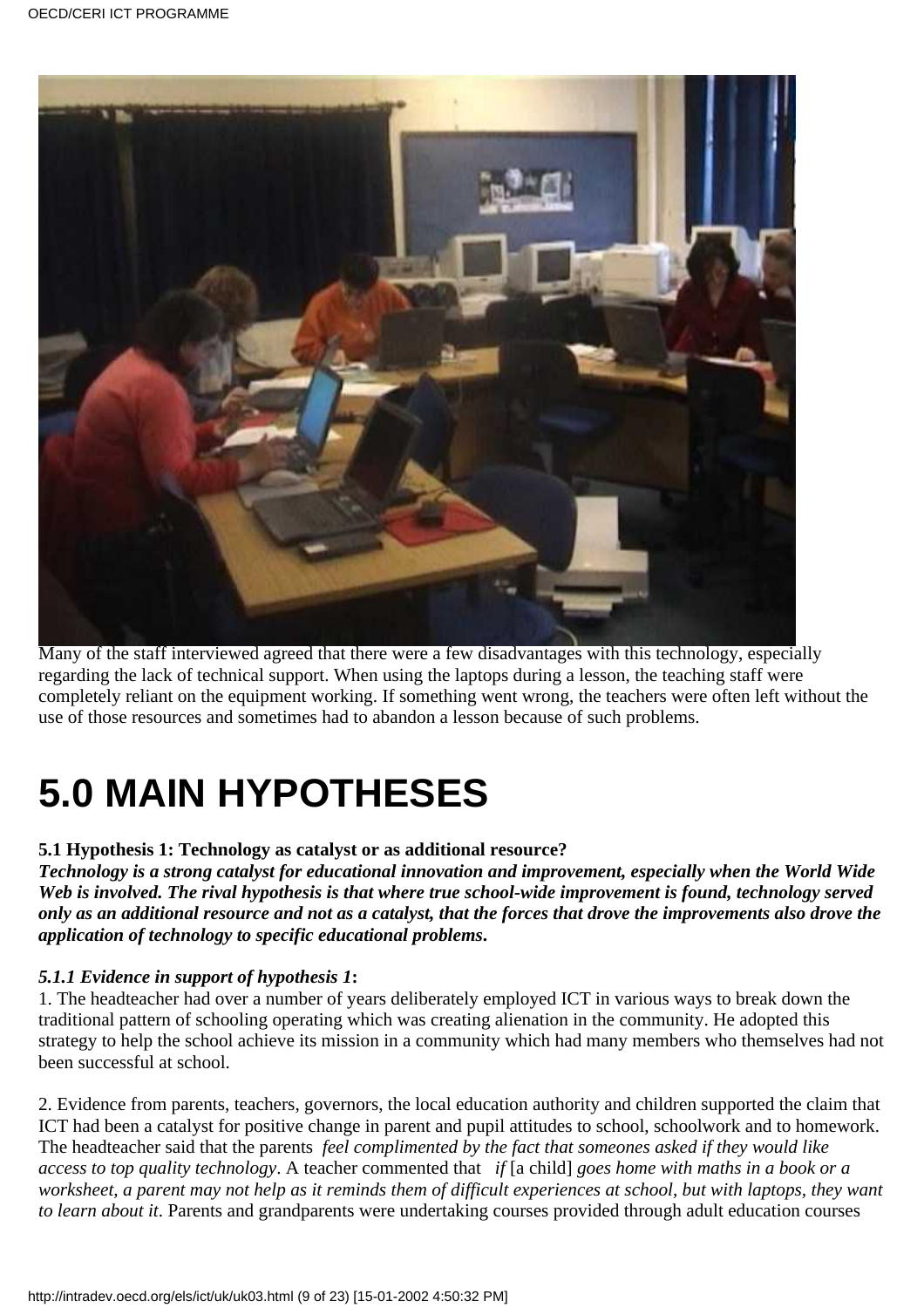

Many of the staff interviewed agreed that there were a few disadvantages with this technology, especially regarding the lack of technical support. When using the laptops during a lesson, the teaching staff were completely reliant on the equipment working. If something went wrong, the teachers were often left without the use of those resources and sometimes had to abandon a lesson because of such problems.

# **5.0 MAIN HYPOTHESES**

#### **5.1 Hypothesis 1: Technology as catalyst or as additional resource?**

*Technology is a strong catalyst for educational innovation and improvement, especially when the World Wide Web is involved. The rival hypothesis is that where true school-wide improvement is found, technology served only as an additional resource and not as a catalyst, that the forces that drove the improvements also drove the application of technology to specific educational problems***.**

#### *5.1.1 Evidence in support of hypothesis 1***:**

1. The headteacher had over a number of years deliberately employed ICT in various ways to break down the traditional pattern of schooling operating which was creating alienation in the community. He adopted this strategy to help the school achieve its mission in a community which had many members who themselves had not been successful at school.

2. Evidence from parents, teachers, governors, the local education authority and children supported the claim that ICT had been a catalyst for positive change in parent and pupil attitudes to school, schoolwork and to homework. The headteacher said that the parents *feel complimented by the fact that someones asked if they would like access to top quality technology*. A teacher commented that *if* [a child] *goes home with maths in a book or a worksheet, a parent may not help as it reminds them of difficult experiences at school, but with laptops, they want to learn about it*. Parents and grandparents were undertaking courses provided through adult education courses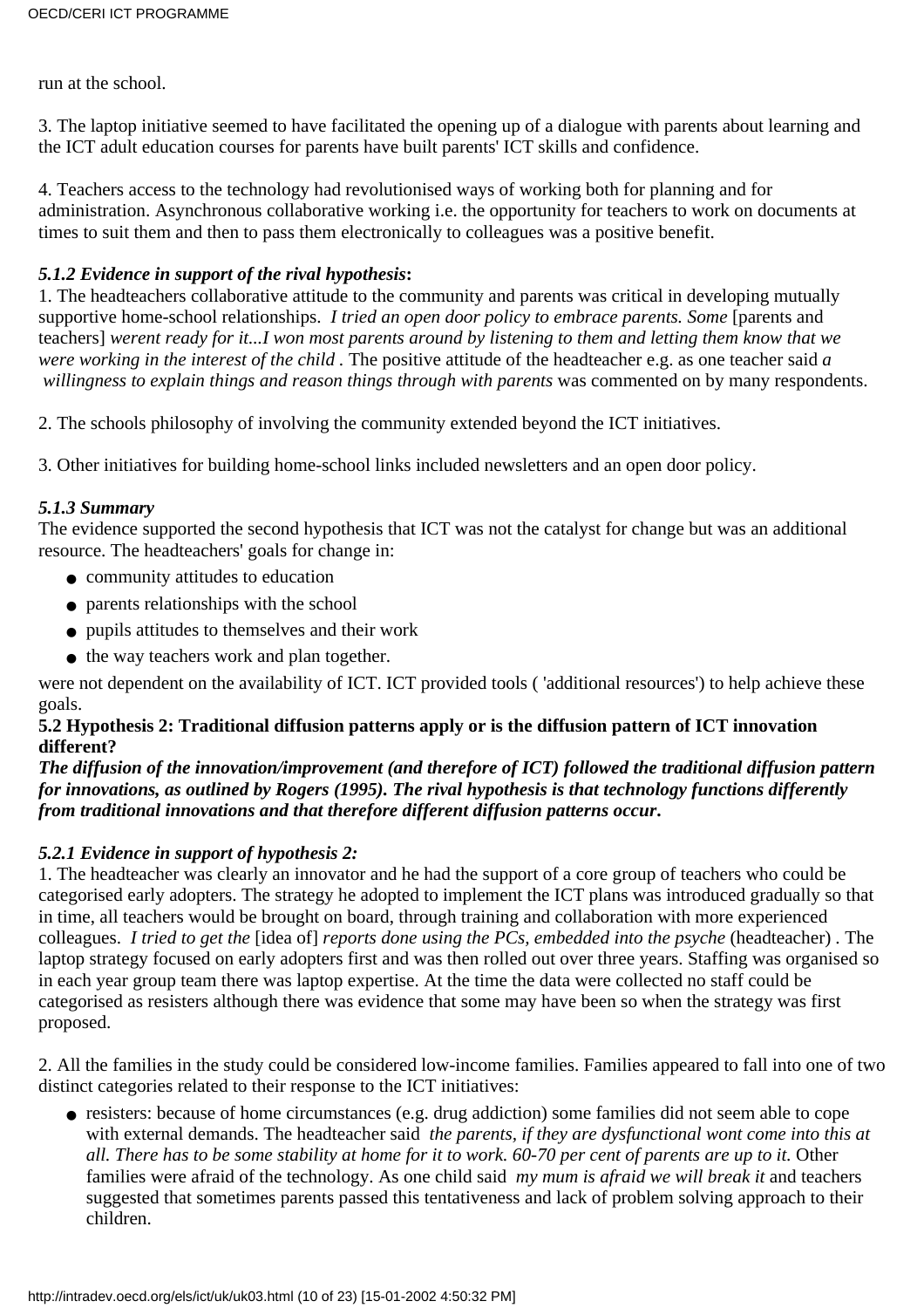run at the school.

3. The laptop initiative seemed to have facilitated the opening up of a dialogue with parents about learning and the ICT adult education courses for parents have built parents' ICT skills and confidence.

4. Teachers access to the technology had revolutionised ways of working both for planning and for administration. Asynchronous collaborative working i.e. the opportunity for teachers to work on documents at times to suit them and then to pass them electronically to colleagues was a positive benefit.

#### *5.1.2 Evidence in support of the rival hypothesis***:**

1. The headteacher s collaborative attitude to the community and parents was critical in developing mutually supportive home-school relationships. *I tried an open door policy to embrace parents. Some* [parents and teachers] *werent ready for it...I won most parents around by listening to them and letting them know that we were working in the interest of the child .* The positive attitude of the headteacher e.g. as one teacher said *a willingness to explain things and reason things through with parents* was commented on by many respondents.

2. The schools philosophy of involving the community extended beyond the ICT initiatives.

3. Other initiatives for building home-school links included newsletters and an open door policy.

#### *5.1.3 Summary*

The evidence supported the second hypothesis that ICT was not the catalyst for change but was an additional resource. The headteachers' goals for change in:

- community attitudes to education
- parents relationships with the school
- pupils attitudes to themselves and their work
- the way teachers work and plan together.

were not dependent on the availability of ICT. ICT provided tools ( 'additional resources') to help achieve these goals.

#### **5.2 Hypothesis 2: Traditional diffusion patterns apply or is the diffusion pattern of ICT innovation different?**

#### *The diffusion of the innovation/improvement (and therefore of ICT) followed the traditional diffusion pattern for innovations, as outlined by Rogers (1995). The rival hypothesis is that technology functions differently from traditional innovations and that therefore different diffusion patterns occur***.**

#### *5.2.1 Evidence in support of hypothesis 2:*

1. The headteacher was clearly an innovator and he had the support of a core group of teachers who could be categorised early adopters. The strategy he adopted to implement the ICT plans was introduced gradually so that in time, all teachers would be brought on board, through training and collaboration with more experienced colleagues. *I tried to get the* [idea of] *reports done using the PCs, embedded into the psyche* (headteacher)*.* The laptop strategy focused on early adopters first and was then rolled out over three years. Staffing was organised so in each year group team there was laptop expertise. At the time the data were collected no staff could be categorised as resisters although there was evidence that some may have been so when the strategy was first proposed.

2. All the families in the study could be considered low-income families. Families appeared to fall into one of two distinct categories related to their response to the ICT initiatives:

• resisters: because of home circumstances (e.g. drug addiction) some families did not seem able to cope with external demands. The headteacher said *the parents, if they are dysfunctional won t come into this at all. There has to be some stability at home for it to work. 60-70 per cent of parents are up to it.* Other families were afraid of the technology. As one child said *my mum is afraid we will break it* and teachers suggested that sometimes parents passed this tentativeness and lack of problem solving approach to their children.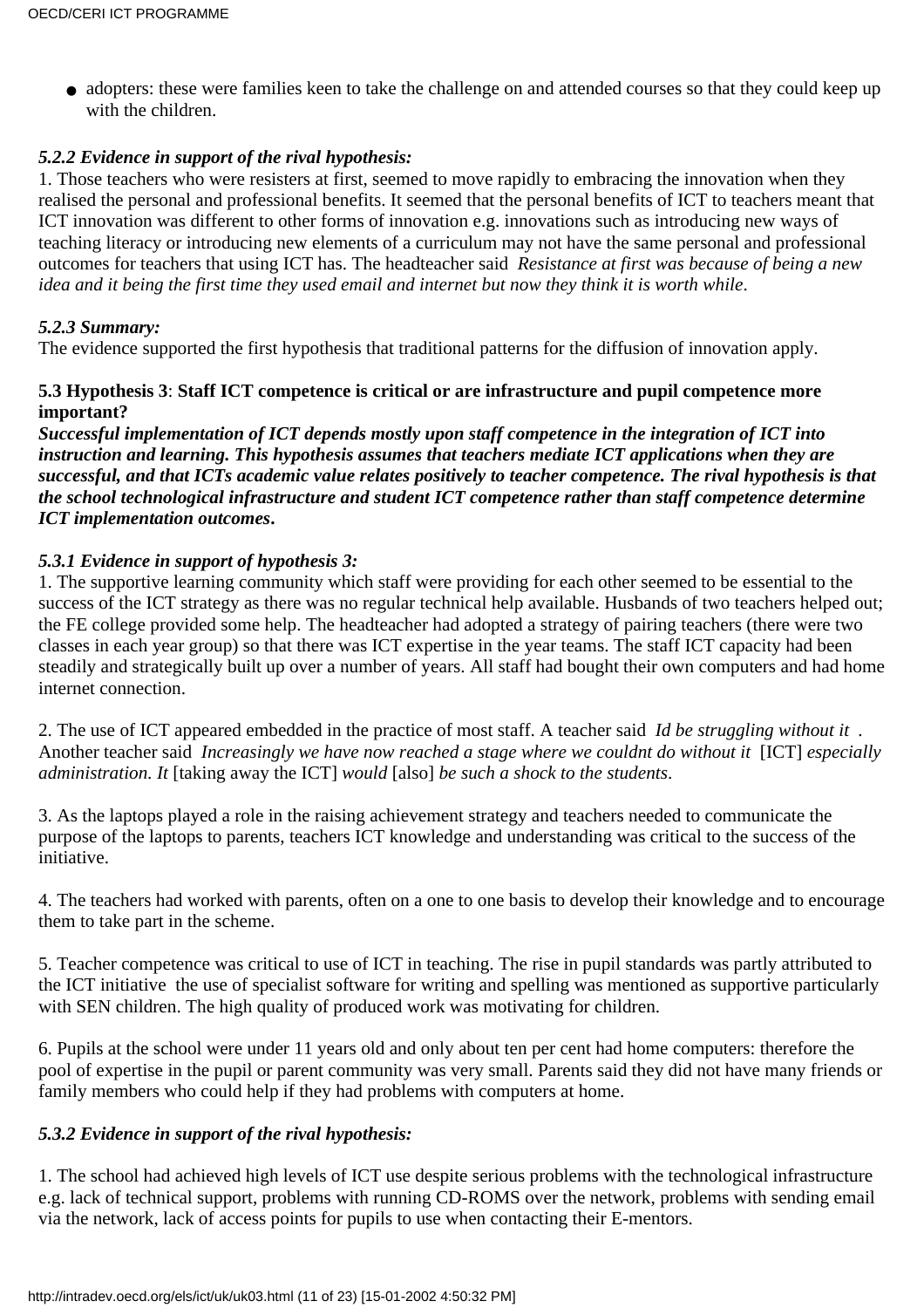• adopters: these were families keen to take the challenge on and attended courses so that they could keep up with the children.

#### *5.2.2 Evidence in support of the rival hypothesis:*

1. Those teachers who were resisters at first, seemed to move rapidly to embracing the innovation when they realised the personal and professional benefits. It seemed that the personal benefits of ICT to teachers meant that ICT innovation was different to other forms of innovation e.g. innovations such as introducing new ways of teaching literacy or introducing new elements of a curriculum may not have the same personal and professional outcomes for teachers that using ICT has. The headteacher said *Resistance at first was because of being a new idea and it being the first time they used email and internet but now they think it is worth while*.

#### *5.2.3 Summary:*

The evidence supported the first hypothesis that traditional patterns for the diffusion of innovation apply.

#### **5.3 Hypothesis 3**: **Staff ICT competence is critical or are infrastructure and pupil competence more important?**

*Successful implementation of ICT depends mostly upon staff competence in the integration of ICT into instruction and learning. This hypothesis assumes that teachers mediate ICT applications when they are successful, and that ICT s academic value relates positively to teacher competence. The rival hypothesis is that the school technological infrastructure and student ICT competence rather than staff competence determine ICT implementation outcomes***.**

#### *5.3.1 Evidence in support of hypothesis 3:*

1. The supportive learning community which staff were providing for each other seemed to be essential to the success of the ICT strategy as there was no regular technical help available. Husbands of two teachers helped out; the FE college provided some help. The headteacher had adopted a strategy of pairing teachers (there were two classes in each year group) so that there was ICT expertise in the year teams. The staff ICT capacity had been steadily and strategically built up over a number of years. All staff had bought their own computers and had home internet connection.

2. The use of ICT appeared embedded in the practice of most staff. A teacher said *Id be struggling without it .* Another teacher said *Increasingly we have now reached a stage where we couldn t do without it* [ICT] *especially administration. It* [taking away the ICT] *would* [also] *be such a shock to the students*.

3. As the laptops played a role in the raising achievement strategy and teachers needed to communicate the purpose of the laptops to parents, teachers ICT knowledge and understanding was critical to the success of the initiative.

4. The teachers had worked with parents, often on a one to one basis to develop their knowledge and to encourage them to take part in the scheme.

5. Teacher competence was critical to use of ICT in teaching. The rise in pupil standards was partly attributed to the ICT initiative the use of specialist software for writing and spelling was mentioned as supportive particularly with SEN children. The high quality of produced work was motivating for children.

6. Pupils at the school were under 11 years old and only about ten per cent had home computers: therefore the pool of expertise in the pupil or parent community was very small. Parents said they did not have many friends or family members who could help if they had problems with computers at home.

#### *5.3.2 Evidence in support of the rival hypothesis:*

1. The school had achieved high levels of ICT use despite serious problems with the technological infrastructure e.g. lack of technical support, problems with running CD-ROMS over the network, problems with sending email via the network, lack of access points for pupils to use when contacting their E-mentors.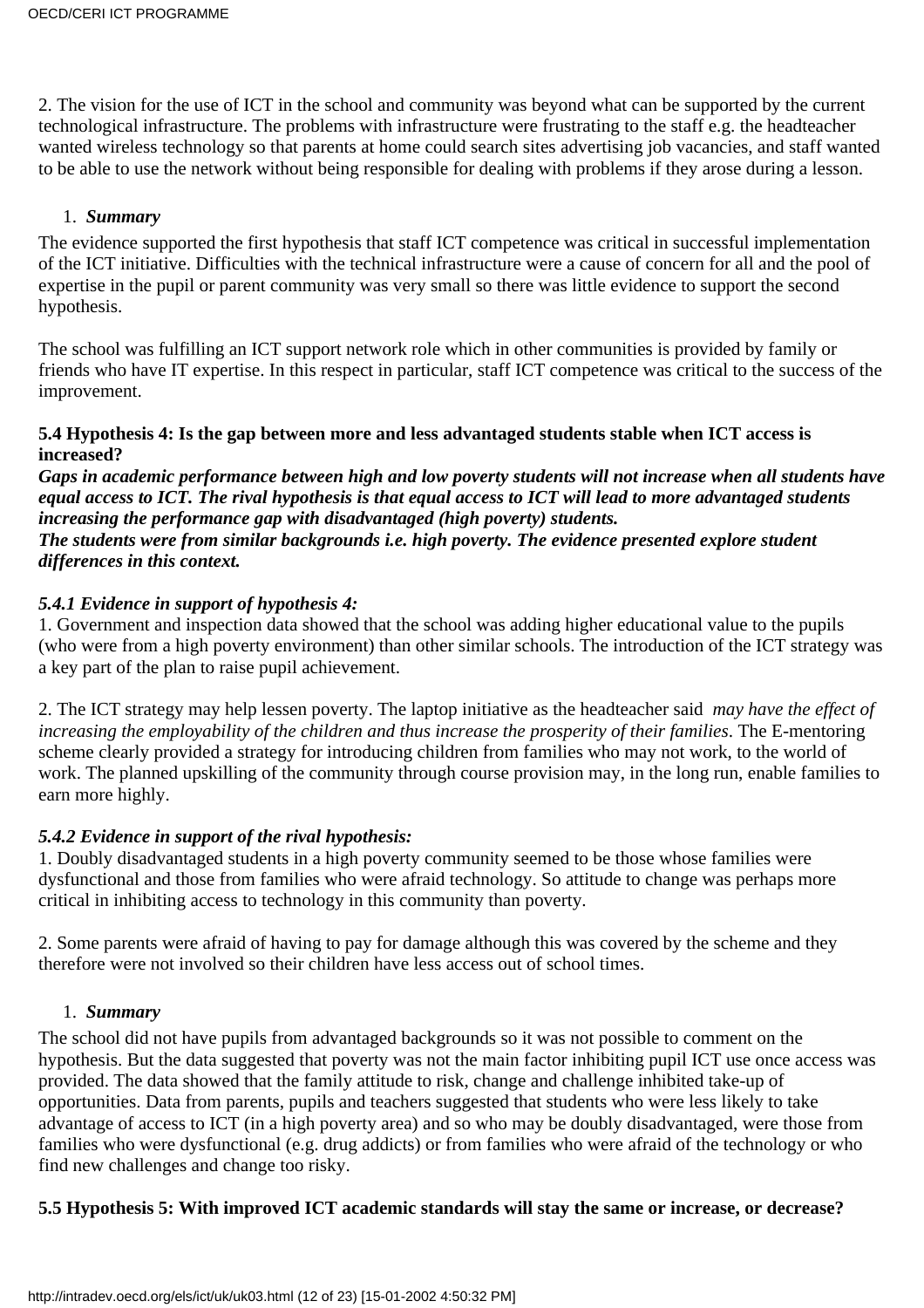2. The vision for the use of ICT in the school and community was beyond what can be supported by the current technological infrastructure. The problems with infrastructure were frustrating to the staff e.g. the headteacher wanted wireless technology so that parents at home could search sites advertising job vacancies, and staff wanted to be able to use the network without being responsible for dealing with problems if they arose during a lesson.

#### 1. *Summary*

The evidence supported the first hypothesis that staff ICT competence was critical in successful implementation of the ICT initiative. Difficulties with the technical infrastructure were a cause of concern for all and the pool of expertise in the pupil or parent community was very small so there was little evidence to support the second hypothesis.

The school was fulfilling an ICT support network role which in other communities is provided by family or friends who have IT expertise. In this respect in particular, staff ICT competence was critical to the success of the improvement.

#### **5.4 Hypothesis 4: Is the gap between more and less advantaged students stable when ICT access is increased?**

*Gaps in academic performance between high and low poverty students will not increase when all students have equal access to ICT. The rival hypothesis is that equal access to ICT will lead to more advantaged students increasing the performance gap with disadvantaged (high poverty) students. The students were from similar backgrounds i.e. high poverty. The evidence presented explore student differences in this context.*

#### *5.4.1 Evidence in support of hypothesis 4:*

1. Government and inspection data showed that the school was adding higher educational value to the pupils (who were from a high poverty environment) than other similar schools. The introduction of the ICT strategy was a key part of the plan to raise pupil achievement.

2. The ICT strategy may help lessen poverty. The laptop initiative as the headteacher said *may have the effect of increasing the employability of the children and thus increase the prosperity of their families*. The E-mentoring scheme clearly provided a strategy for introducing children from families who may not work, to the world of work. The planned upskilling of the community through course provision may, in the long run, enable families to earn more highly.

#### *5.4.2 Evidence in support of the rival hypothesis:*

1. Doubly disadvantaged students in a high poverty community seemed to be those whose families were dysfunctional and those from families who were afraid technology. So attitude to change was perhaps more critical in inhibiting access to technology in this community than poverty.

2. Some parents were afraid of having to pay for damage although this was covered by the scheme and they therefore were not involved so their children have less access out of school times.

#### 1. *Summary*

The school did not have pupils from advantaged backgrounds so it was not possible to comment on the hypothesis. But the data suggested that poverty was not the main factor inhibiting pupil ICT use once access was provided. The data showed that the family attitude to risk, change and challenge inhibited take-up of opportunities. Data from parents, pupils and teachers suggested that students who were less likely to take advantage of access to ICT (in a high poverty area) and so who may be doubly disadvantaged, were those from families who were dysfunctional (e.g. drug addicts) or from families who were afraid of the technology or who find new challenges and change too risky.

#### **5.5 Hypothesis 5: With improved ICT academic standards will stay the same or increase, or decrease?**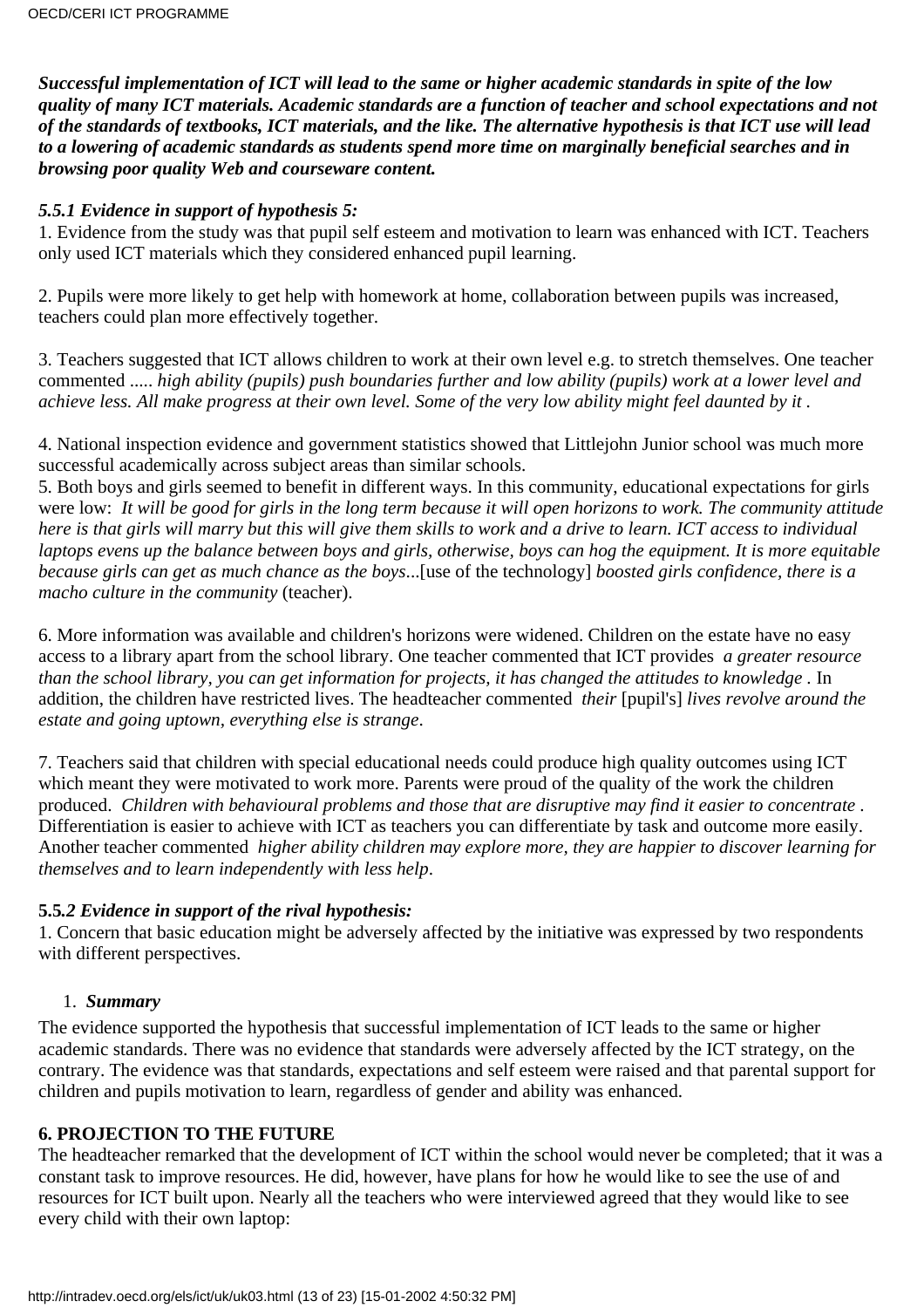*Successful implementation of ICT will lead to the same or higher academic standards in spite of the low quality of many ICT materials. Academic standards are a function of teacher and school expectations and not of the standards of textbooks, ICT materials, and the like. The alternative hypothesis is that ICT use will lead to a lowering of academic standards as students spend more time on marginally beneficial searches and in browsing poor quality Web and courseware content.*

#### *5.5.1 Evidence in support of hypothesis 5:*

1. Evidence from the study was that pupil self esteem and motivation to learn was enhanced with ICT. Teachers only used ICT materials which they considered enhanced pupil learning.

2. Pupils were more likely to get help with homework at home, collaboration between pupils was increased, teachers could plan more effectively together.

3. Teachers suggested that ICT allows children to work at their own level e.g. to stretch themselves. One teacher commented .....*high ability (pupils) push boundaries further and low ability (pupils) work at a lower level and achieve less. All make progress at their own level. Some of the very low ability might feel daunted by it .*

4. National inspection evidence and government statistics showed that Littlejohn Junior school was much more successful academically across subject areas than similar schools.

5. Both boys and girls seemed to benefit in different ways. In this community, educational expectations for girls were low: *It will be good for girls in the long term because it will open horizons to work. The community attitude here is that girls will marry but this will give them skills to work and a drive to learn. ICT access to individual laptops evens up the balance between boys and girls, otherwise, boys can hog the equipment. It is more equitable because girls can get as much chance as the boys*...[use of the technology] *boosted girls confidence, there is a macho culture in the community* (teacher).

6. More information was available and children's horizons were widened. Children on the estate have no easy access to a library apart from the school library. One teacher commented that ICT provides *a greater resource than the school library, you can get information for projects, it has changed the attitudes to knowledge .* In addition, the children have restricted lives. The headteacher commented *their* [pupil's] *lives revolve around the estate and going uptown, everything else is strange*.

7. Teachers said that children with special educational needs could produce high quality outcomes using ICT which meant they were motivated to work more. Parents were proud of the quality of the work the children produced. *Children with behavioural problems and those that are disruptive may find it easier to concentrate .* Differentiation is easier to achieve with ICT as teachers you can differentiate by task and outcome more easily. Another teacher commented *higher ability children may explore more, they are happier to discover learning for themselves and to learn independently with less help*.

#### **5.5***.2 Evidence in support of the rival hypothesis:*

1. Concern that basic education might be adversely affected by the initiative was expressed by two respondents with different perspectives.

#### 1. *Summary*

The evidence supported the hypothesis that successful implementation of ICT leads to the same or higher academic standards. There was no evidence that standards were adversely affected by the ICT strategy, on the contrary. The evidence was that standards, expectations and self esteem were raised and that parental support for children and pupils motivation to learn, regardless of gender and ability was enhanced.

#### **6. PROJECTION TO THE FUTURE**

The headteacher remarked that the development of ICT within the school would never be completed; that it was a constant task to improve resources. He did, however, have plans for how he would like to see the use of and resources for ICT built upon. Nearly all the teachers who were interviewed agreed that they would like to see every child with their own laptop: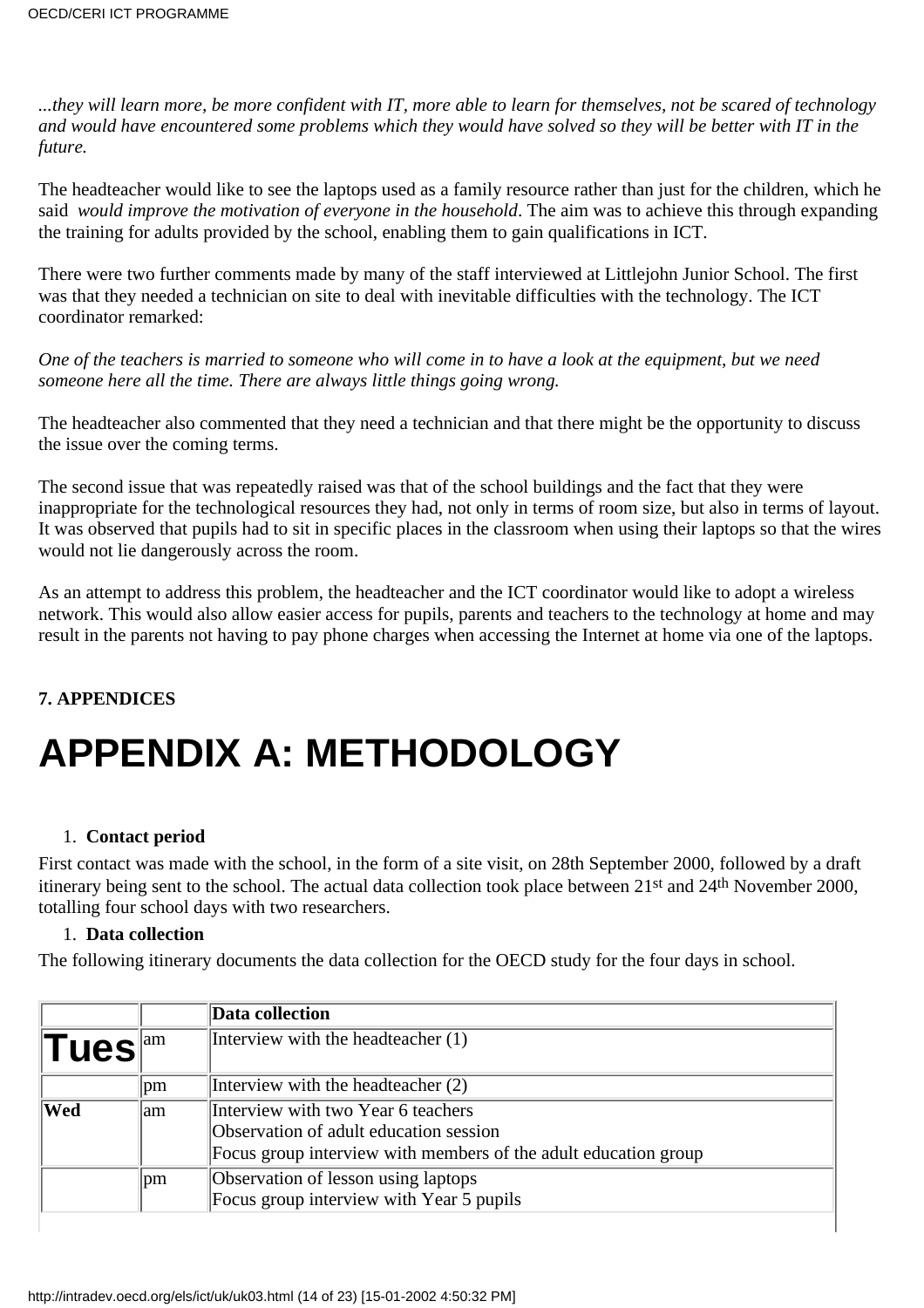*...they will learn more, be more confident with IT, more able to learn for themselves, not be scared of technology and would have encountered some problems which they would have solved so they will be better with IT in the future.*

The headteacher would like to see the laptops used as a family resource rather than just for the children, which he said *would improve the motivation of everyone in the household*. The aim was to achieve this through expanding the training for adults provided by the school, enabling them to gain qualifications in ICT.

There were two further comments made by many of the staff interviewed at Littlejohn Junior School. The first was that they needed a technician on site to deal with inevitable difficulties with the technology. The ICT coordinator remarked:

*One of the teachers is married to someone who will come in to have a look at the equipment, but we need someone here all the time. There are always little things going wrong.*

The headteacher also commented that they need a technician and that there might be the opportunity to discuss the issue over the coming terms.

The second issue that was repeatedly raised was that of the school buildings and the fact that they were inappropriate for the technological resources they had, not only in terms of room size, but also in terms of layout. It was observed that pupils had to sit in specific places in the classroom when using their laptops so that the wires would not lie dangerously across the room.

As an attempt to address this problem, the headteacher and the ICT coordinator would like to adopt a wireless network. This would also allow easier access for pupils, parents and teachers to the technology at home and may result in the parents not having to pay phone charges when accessing the Internet at home via one of the laptops.

#### **7. APPENDICES**

# **APPENDIX A: METHODOLOGY**

#### 1. **Contact period**

First contact was made with the school, in the form of a site visit, on 28th September 2000, followed by a draft itinerary being sent to the school. The actual data collection took place between 21st and 24th November 2000, totalling four school days with two researchers.

#### 1. **Data collection**

The following itinerary documents the data collection for the OECD study for the four days in school.

|                  |               | Data collection                                                 |
|------------------|---------------|-----------------------------------------------------------------|
| Tues             | am            | Interview with the headteacher (1)                              |
|                  | pm            | Interview with the headteacher (2)                              |
| $ \mathbf{Wed} $ | lam           | Interview with two Year 6 teachers                              |
|                  |               | Observation of adult education session                          |
|                  |               | Focus group interview with members of the adult education group |
|                  | <sub>pm</sub> | Observation of lesson using laptops                             |
|                  |               | Focus group interview with Year 5 pupils                        |
|                  |               |                                                                 |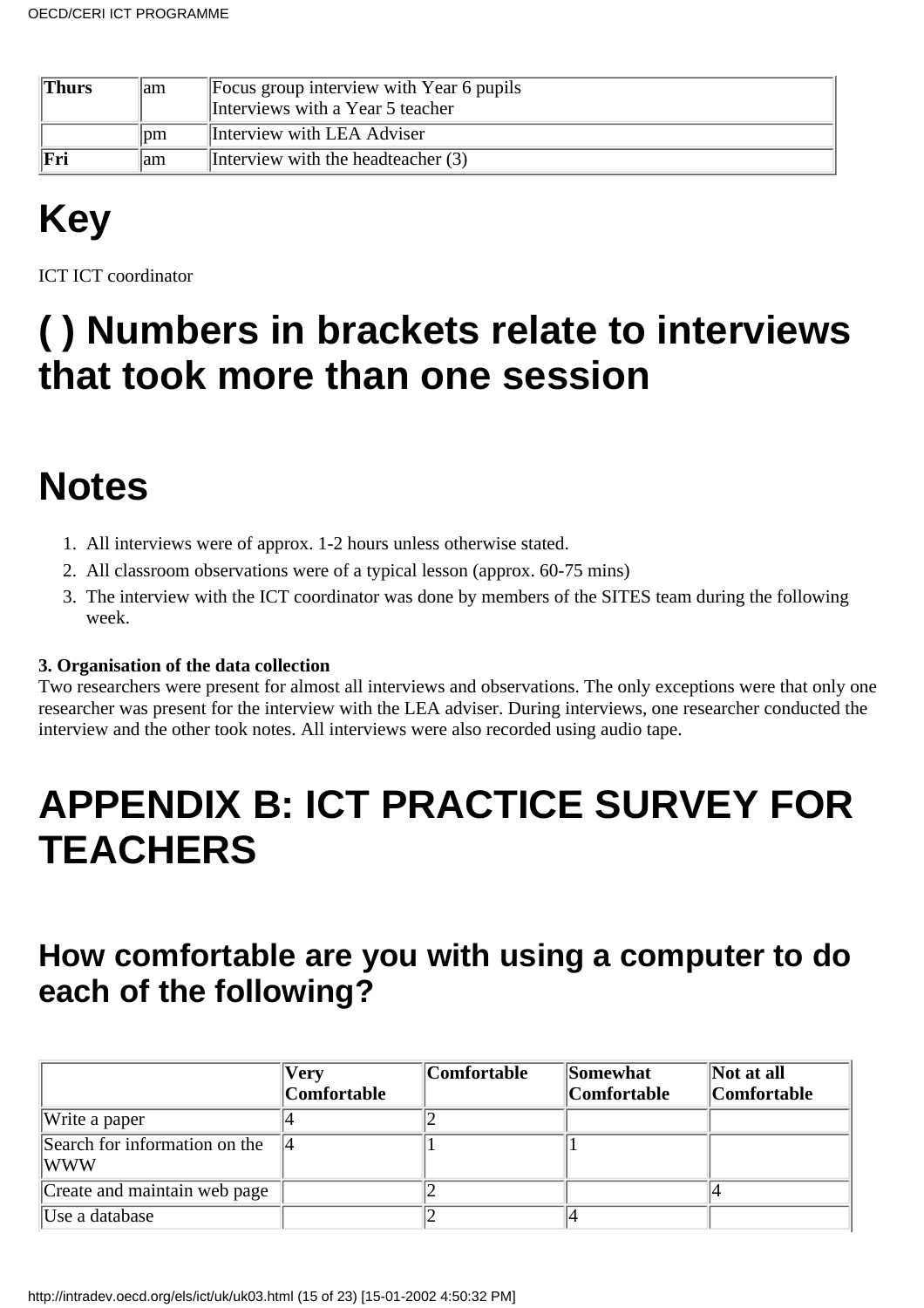| <b>Thurs</b> | lam                        | Focus group interview with Year 6 pupils<br>Interviews with a Year 5 teacher |
|--------------|----------------------------|------------------------------------------------------------------------------|
|              | $\mathop{\rm Dm}\nolimits$ | Interview with LEA Adviser                                                   |
| Fri          | lam                        | Interview with the headteacher $(3)$                                         |

# **Key**

ICT ICT coordinator

### **( ) Numbers in brackets relate to interviews that took more than one session**

### **Notes**

- 1. All interviews were of approx. 1-2 hours unless otherwise stated.
- All classroom observations were of a typical lesson (approx. 60-75 mins)2.
- The interview with the ICT coordinator was done by members of the SITES team during the following 3. week.

#### **3. Organisation of the data collection**

Two researchers were present for almost all interviews and observations. The only exceptions were that only one researcher was present for the interview with the LEA adviser. During interviews, one researcher conducted the interview and the other took notes. All interviews were also recorded using audio tape.

### **APPENDIX B: ICT PRACTICE SURVEY FOR TEACHERS**

### **How comfortable are you with using a computer to do each of the following?**

|                                       | Very<br><i><b>Comfortable</b></i> | Comfortable | Somewhat<br><b>Comfortable</b> | Not at all<br> Comfortable |
|---------------------------------------|-----------------------------------|-------------|--------------------------------|----------------------------|
| Write a paper                         |                                   |             |                                |                            |
| Search for information on the<br> WWW |                                   |             |                                |                            |
| Create and maintain web page          |                                   |             |                                |                            |
| Use a database                        |                                   |             |                                |                            |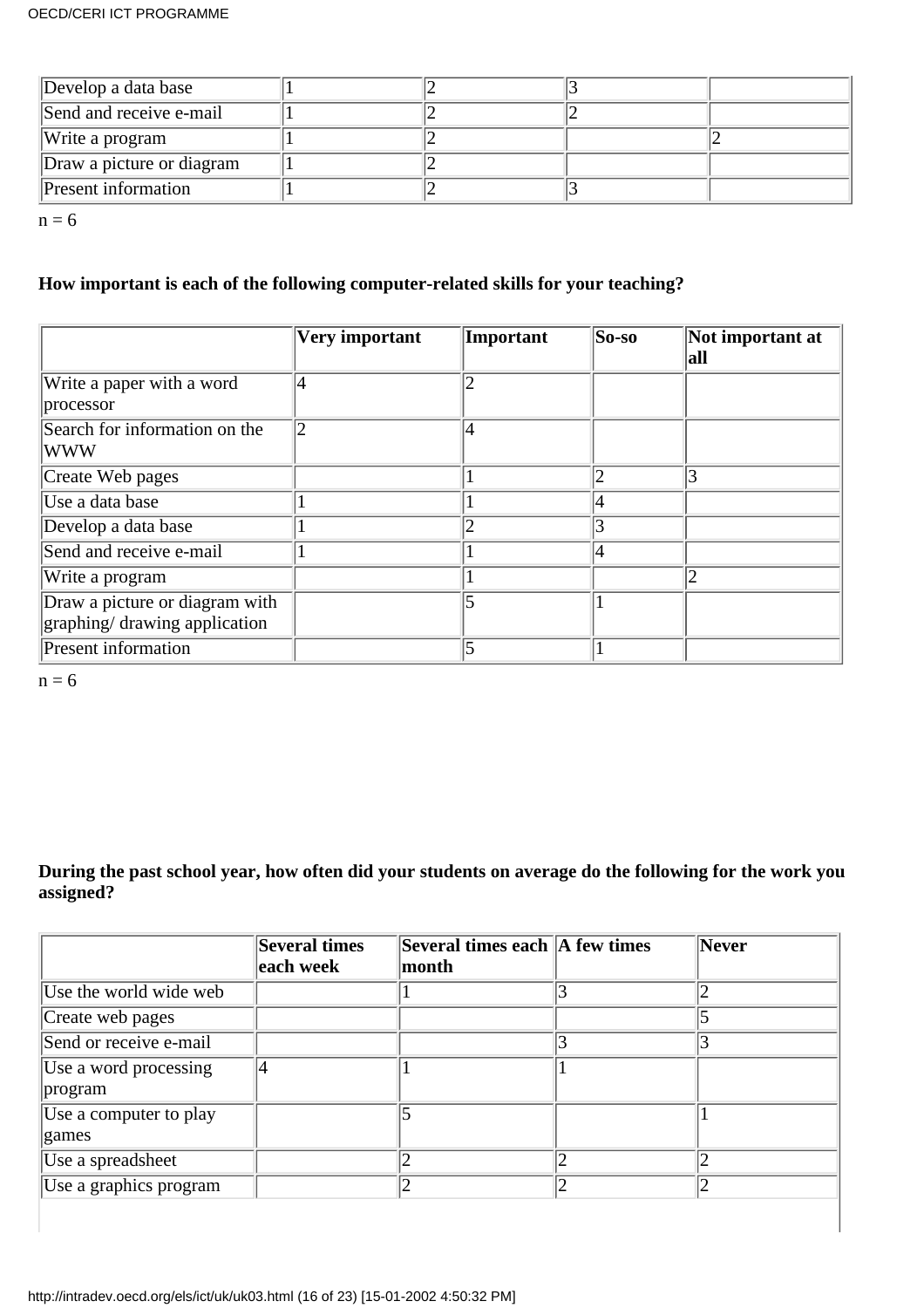| Develop a data base        |  |  |
|----------------------------|--|--|
| Send and receive e-mail    |  |  |
| Write a program            |  |  |
| Draw a picture or diagram  |  |  |
| <b>Present</b> information |  |  |

 $n = 6$ 

#### **How important is each of the following computer-related skills for your teaching?**

|                                                                 | Very important | Important | $ $ So-so | Not important at<br>all |
|-----------------------------------------------------------------|----------------|-----------|-----------|-------------------------|
| Write a paper with a word<br>processor                          | 4              | า         |           |                         |
| Search for information on the<br><b>WWW</b>                     | 2              |           |           |                         |
| Create Web pages                                                |                |           |           | 3                       |
| Use a data base                                                 |                |           |           |                         |
| Develop a data base                                             |                |           |           |                         |
| Send and receive e-mail                                         |                |           |           |                         |
| Write a program                                                 |                |           |           | $^{\prime}2$            |
| Draw a picture or diagram with<br>graphing/ drawing application |                |           |           |                         |
| <b>Present information</b>                                      |                |           |           |                         |

 $n = 6$ 

#### **During the past school year, how often did your students on average do the following for the work you assigned?**

|                                  | Several times<br>each week | Several times each   A few times<br>month |    | Never          |
|----------------------------------|----------------------------|-------------------------------------------|----|----------------|
| Use the world wide web           |                            |                                           |    |                |
| Create web pages                 |                            |                                           |    |                |
| Send or receive e-mail           |                            |                                           |    |                |
| Use a word processing<br>program |                            |                                           |    |                |
| Use a computer to play<br>games  |                            |                                           |    |                |
| Use a spreadsheet                |                            |                                           |    |                |
| Use a graphics program           |                            | 12                                        | 12 | $\overline{2}$ |
|                                  |                            |                                           |    |                |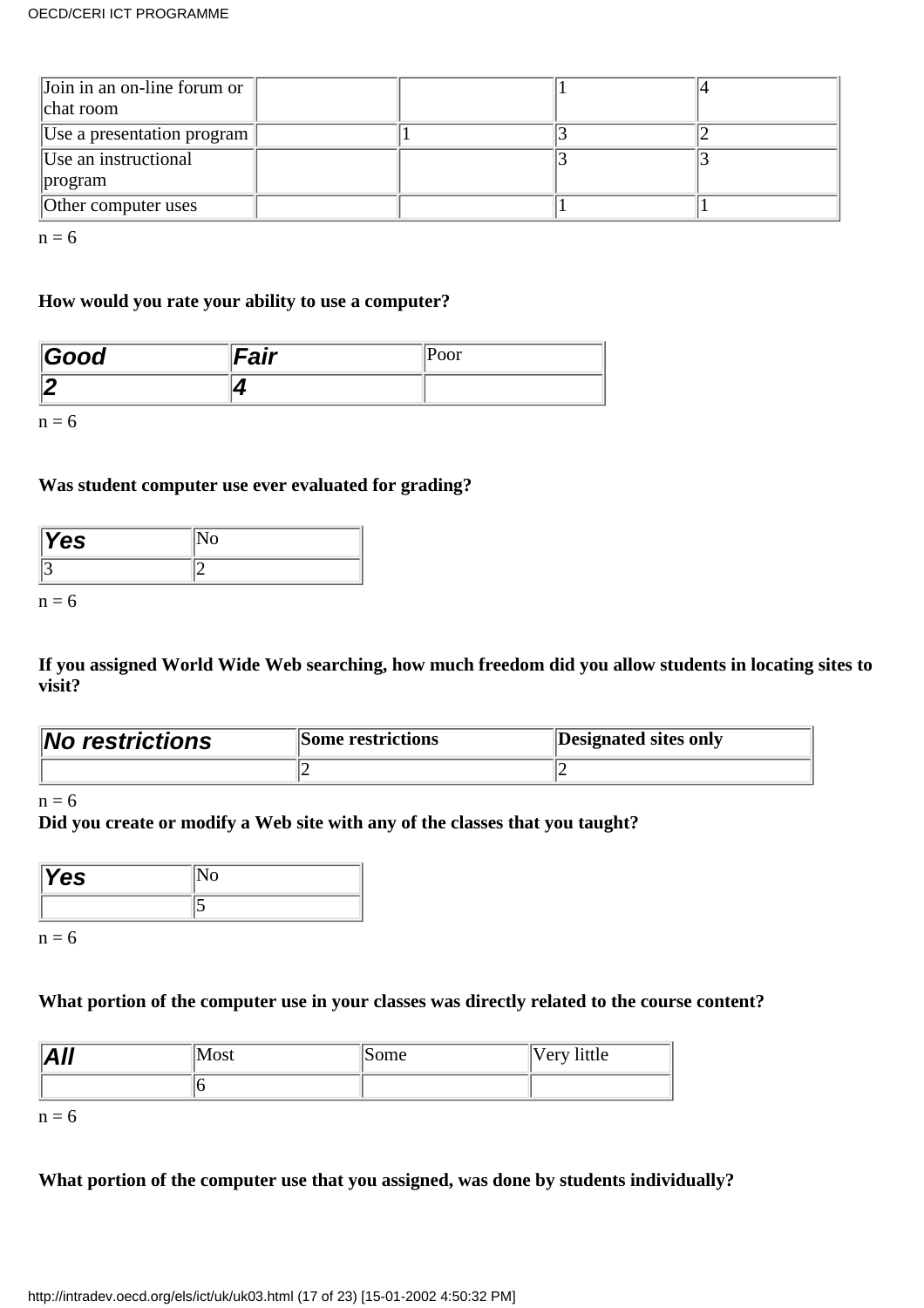| Join in an on-line forum or<br>chat room |  |  |
|------------------------------------------|--|--|
| Use a presentation program               |  |  |
| Use an instructional                     |  |  |
| program                                  |  |  |
| Other computer uses                      |  |  |

 $n = 6$ 

#### **How would you rate your ability to use a computer?**

| Good | nie.<br>an |  |
|------|------------|--|
|      |            |  |

 $n = 6$ 

#### **Was student computer use ever evaluated for grading?**

| Yes |  |
|-----|--|
|     |  |

 $n = 6$ 

**If you assigned World Wide Web searching, how much freedom did you allow students in locating sites to visit?**

| <b>No restrictions</b> | <b>Some restrictions</b> | Designated sites only |
|------------------------|--------------------------|-----------------------|
|                        |                          |                       |

 $n = 6$ 

#### **Did you create or modify a Web site with any of the classes that you taught?**

| res |  |
|-----|--|
|     |  |

 $n = 6$ 

#### **What portion of the computer use in your classes was directly related to the course content?**

| $\Lambda$ II<br>-17 | Most | Some | 'Very little |
|---------------------|------|------|--------------|
|                     |      |      |              |

 $n = 6$ 

#### **What portion of the computer use that you assigned, was done by students individually?**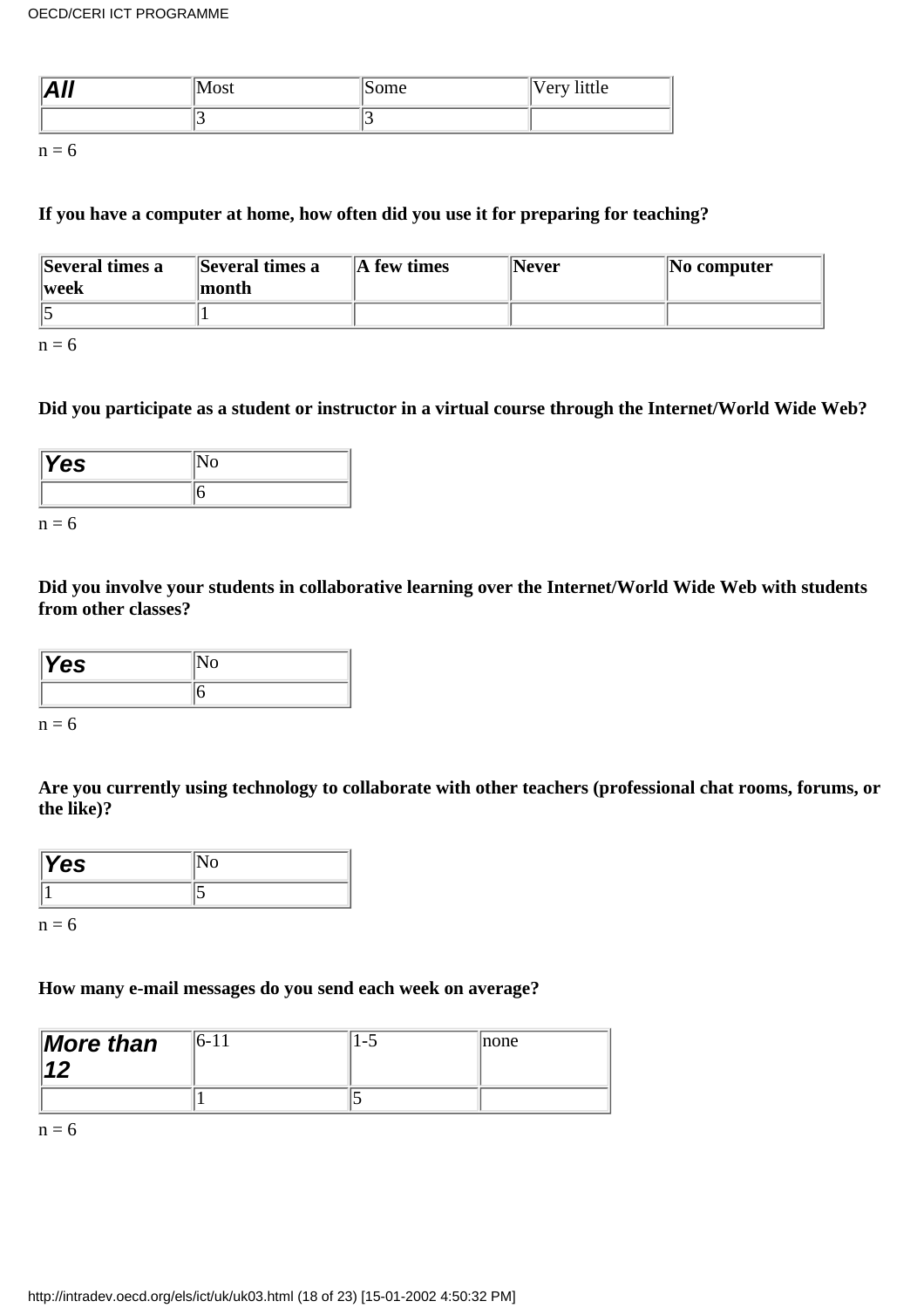| .<br>12 M J | $\sim$ $\sim$ $\sim$<br>1000 | ۱m۵<br>ottic<br>. . | ittle<br>$\Delta r$<br>◡ェ |
|-------------|------------------------------|---------------------|---------------------------|
|             |                              |                     |                           |

 $n = 6$ 

#### **If you have a computer at home, how often did you use it for preparing for teaching?**

| Several times a | Several times a | $\ A\ $ few times | Never | $\vert$ No computer |
|-----------------|-----------------|-------------------|-------|---------------------|
| $\ $ week       | month           |                   |       |                     |
|                 |                 |                   |       |                     |

 $n = 6$ 

#### **Did you participate as a student or instructor in a virtual course through the Internet/World Wide Web?**

| res |  |
|-----|--|
|     |  |

 $n = 6$ 

**Did you involve your students in collaborative learning over the Internet/World Wide Web with students from other classes?**

| res. |  |
|------|--|
|      |  |

 $n = 6$ 

**Are you currently using technology to collaborate with other teachers (professional chat rooms, forums, or the like)?**

| Yes |  |
|-----|--|
|     |  |

 $n = 6$ 

#### **How many e-mail messages do you send each week on average?**

| <b>More than</b> | 16-11 | $\overline{\phantom{0}}$ | Inone |
|------------------|-------|--------------------------|-------|
|                  |       |                          |       |

 $n = 6$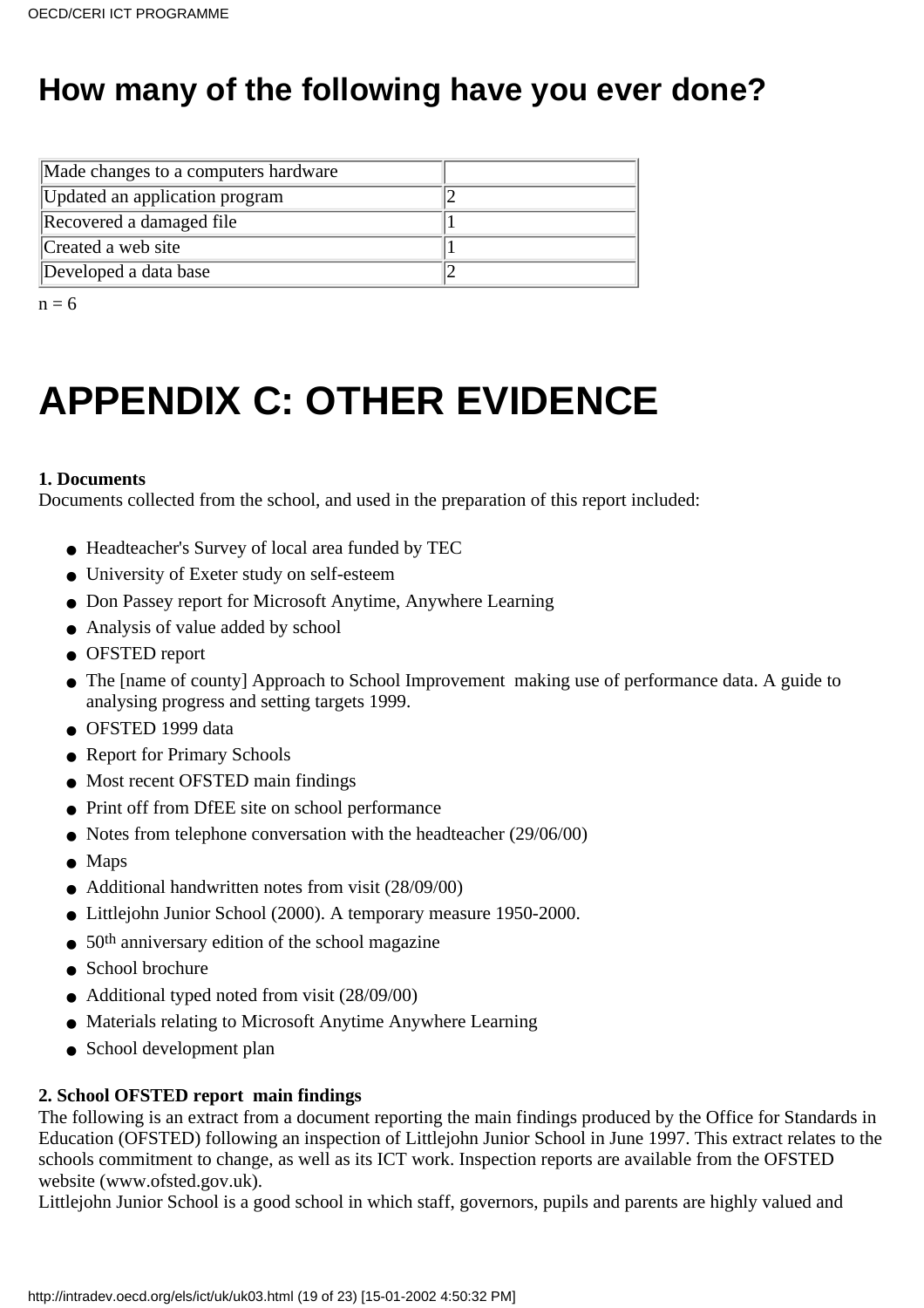### **How many of the following have you ever done?**

| Made changes to a computer s hardware |  |
|---------------------------------------|--|
| Updated an application program        |  |
| Recovered a damaged file              |  |
| Created a web site                    |  |
| Developed a data base                 |  |

 $n = 6$ 

# **APPENDIX C: OTHER EVIDENCE**

#### **1. Documents**

Documents collected from the school, and used in the preparation of this report included:

- Headteacher's Survey of local area funded by TEC
- University of Exeter study on self-esteem
- Don Passey report for Microsoft Anytime, Anywhere Learning
- Analysis of value added by school
- OFSTED report
- The [name of county] Approach to School Improvement making use of performance data. A guide to analysing progress and setting targets 1999.
- OFSTED 1999 data
- Report for Primary Schools
- Most recent OFSTED main findings
- Print off from DfEE site on school performance
- Notes from telephone conversation with the headteacher (29/06/00)
- Maps
- Additional handwritten notes from visit (28/09/00)
- Littlejohn Junior School (2000). A temporary measure 1950-2000.
- $\bullet$  50<sup>th</sup> anniversary edition of the school magazine
- School brochure
- Additional typed noted from visit (28/09/00)
- Materials relating to Microsoft Anytime Anywhere Learning
- School development plan

#### **2. School OFSTED report main findings**

The following is an extract from a document reporting the main findings produced by the Office for Standards in Education (OFSTED) following an inspection of Littlejohn Junior School in June 1997. This extract relates to the school s commitment to change, as well as it s ICT work. Inspection reports are available from the OFSTED website (www.ofsted.gov.uk).

Littlejohn Junior School is a good school in which staff, governors, pupils and parents are highly valued and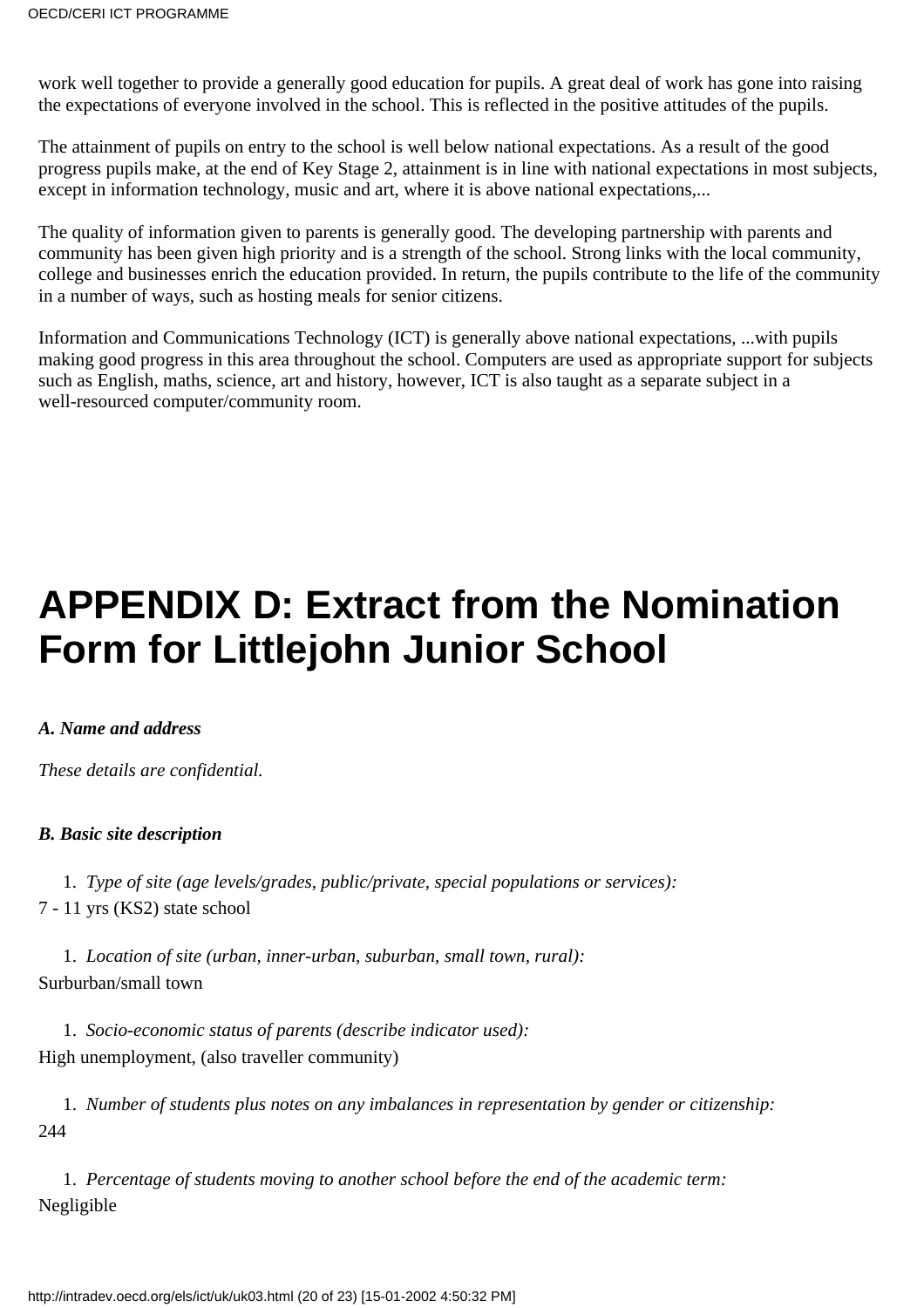work well together to provide a generally good education for pupils. A great deal of work has gone into raising the expectations of everyone involved in the school. This is reflected in the positive attitudes of the pupils.

The attainment of pupils on entry to the school is well below national expectations. As a result of the good progress pupils make, at the end of Key Stage 2, attainment is in line with national expectations in most subjects, except in information technology, music and art, where it is above national expectations,...

The quality of information given to parents is generally good. The developing partnership with parents and community has been given high priority and is a strength of the school. Strong links with the local community, college and businesses enrich the education provided. In return, the pupils contribute to the life of the community in a number of ways, such as hosting meals for senior citizens.

Information and Communications Technology (ICT) is generally above national expectations, ...with pupils making good progress in this area throughout the school. Computers are used as appropriate support for subjects such as English, maths, science, art and history, however, ICT is also taught as a separate subject in a well-resourced computer/community room.

## **APPENDIX D: Extract from the Nomination Form for Littlejohn Junior School**

#### *A. Name and address*

*These details are confidential.*

#### *B. Basic site description*

1. *Type of site (age levels/grades, public/private, special populations or services):*

7 - 11 yrs (KS2) state school

1. *Location of site (urban, inner-urban, suburban, small town, rural):* Surburban/small town

1. *Socio-economic status of parents (describe indicator used):* High unemployment, (also traveller community)

1. *Number of students plus notes on any imbalances in representation by gender or citizenship:* 244

1. *Percentage of students moving to another school before the end of the academic term:* Negligible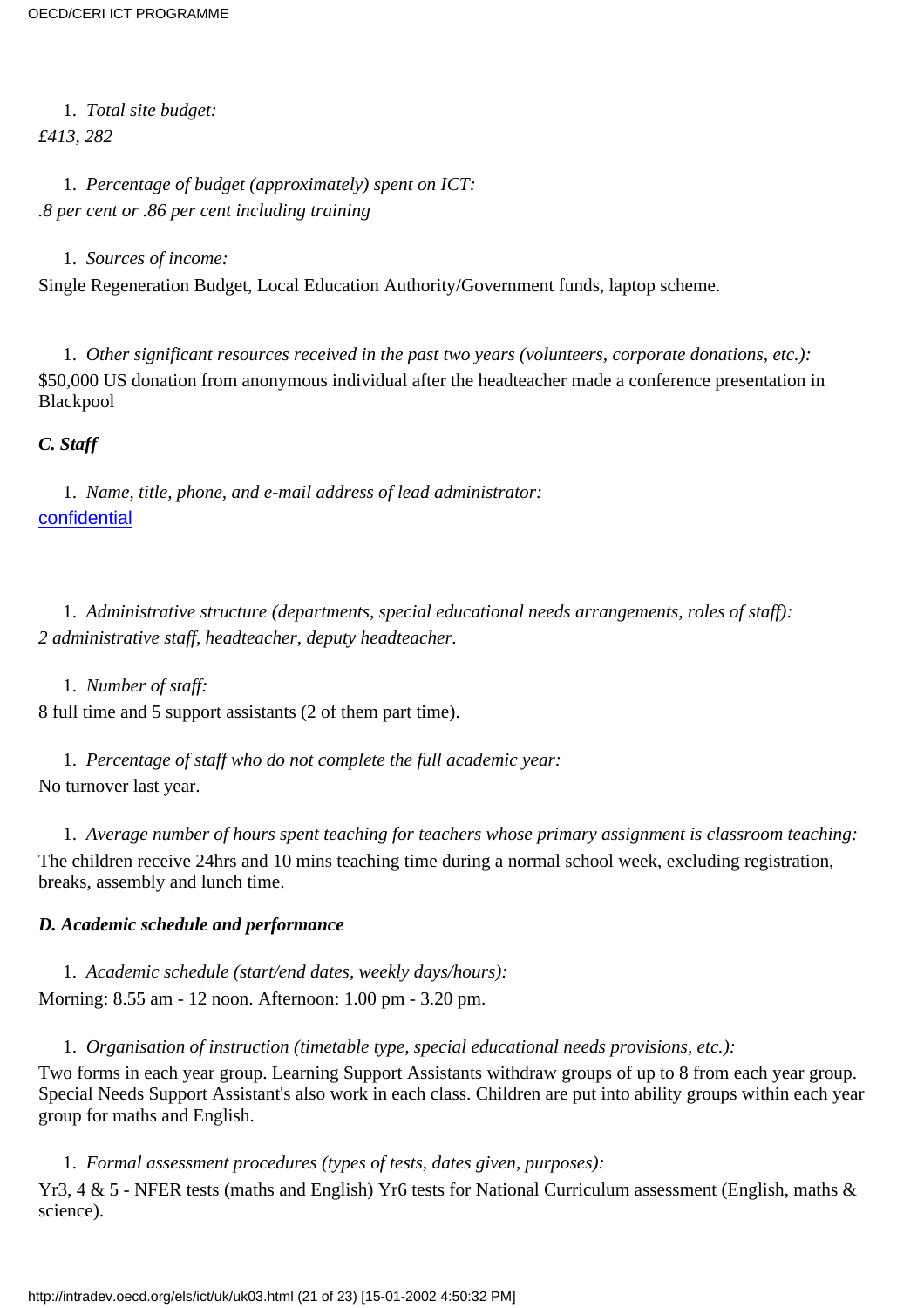1. *Total site budget: £413, 282*

1. *Percentage of budget (approximately) spent on ICT: .8 per cent or .86 per cent including training*

1. *Sources of income:*

Single Regeneration Budget, Local Education Authority/Government funds, laptop scheme.

1. *Other significant resources received in the past two years (volunteers, corporate donations, etc.):* \$50,000 US donation from anonymous individual after the headteacher made a conference presentation in Blackpool

*C. Staff*

1. *Name, title, phone, and e-mail address of lead administrator:* [confidential](mailto:ddixon@aask.co.uk)

1. *Administrative structure (departments, special educational needs arrangements, roles of staff): 2 administrative staff, headteacher, deputy headteacher.*

1. *Number of staff:* 8 full time and 5 support assistants (2 of them part time).

1. *Percentage of staff who do not complete the full academic year:* No turnover last year.

1. *Average number of hours spent teaching for teachers whose primary assignment is classroom teaching:* The children receive 24hrs and 10 mins teaching time during a normal school week, excluding registration, breaks, assembly and lunch time.

#### *D. Academic schedule and performance*

1. *Academic schedule (start/end dates, weekly days/hours):* Morning: 8.55 am - 12 noon. Afternoon: 1.00 pm - 3.20 pm.

1. *Organisation of instruction (timetable type, special educational needs provisions, etc.):*

Two forms in each year group. Learning Support Assistants withdraw groups of up to 8 from each year group. Special Needs Support Assistant's also work in each class. Children are put into ability groups within each year group for maths and English.

1. *Formal assessment procedures (types of tests, dates given, purposes):*

Yr3, 4 & 5 - NFER tests (maths and English) Yr6 tests for National Curriculum assessment (English, maths & science).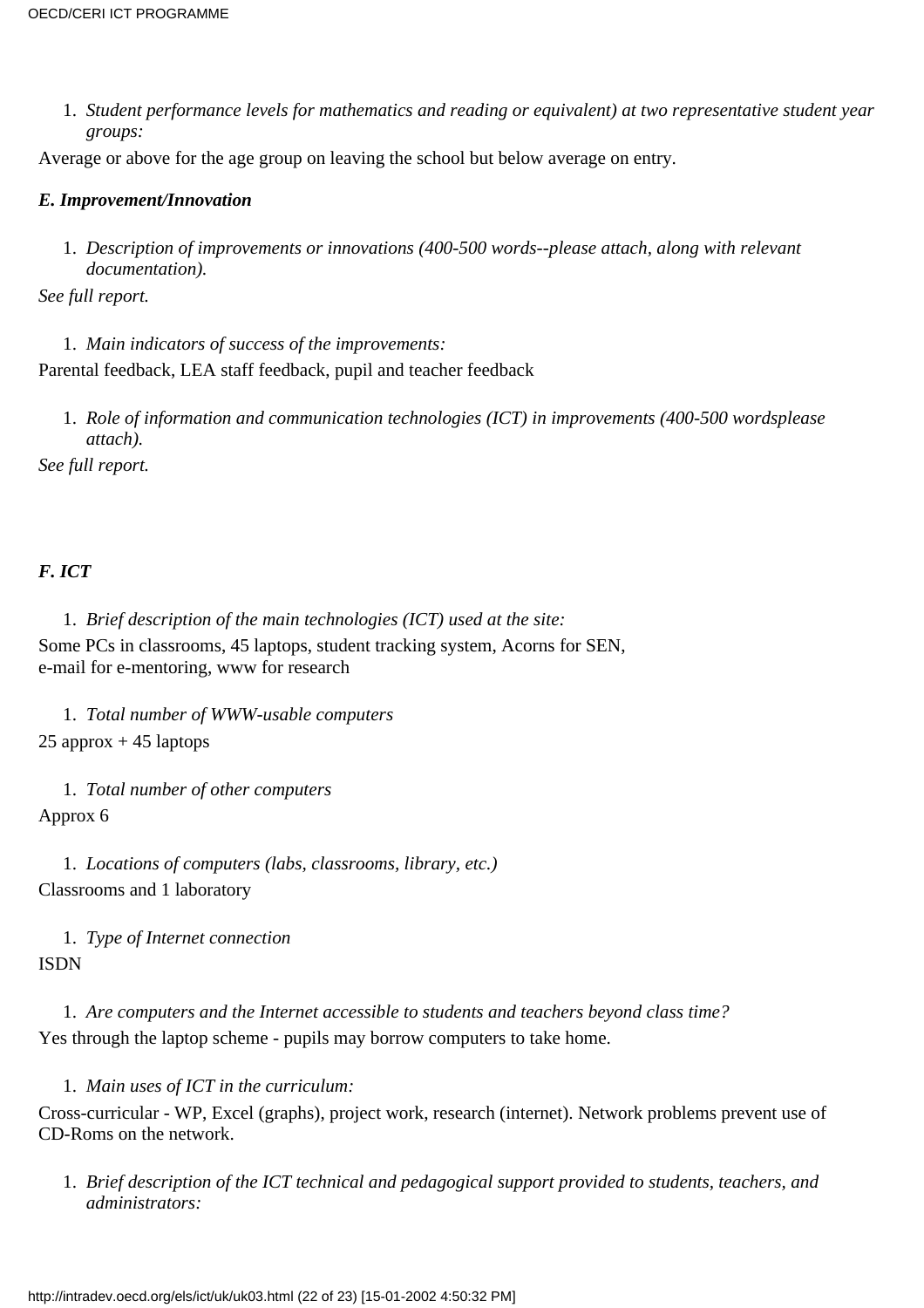*Student performance levels for mathematics and reading or equivalent) at two representative student year* 1. *groups:*

Average or above for the age group on leaving the school but below average on entry.

#### *E. Improvement/Innovation*

*Description of improvements or innovations (400-500 words--please attach, along with relevant* 1. *documentation).*

*See full report.*

- 1. *Main indicators of success of the improvements:* Parental feedback, LEA staff feedback, pupil and teacher feedback
	- 1. Role of information and communication technologies (ICT) in improvements (400-500 words please *attach).*

*See full report.*

#### *F. ICT*

1. *Brief description of the main technologies (ICT) used at the site:*

Some PCs in classrooms, 45 laptops, student tracking system, Acorns for SEN, e-mail for e-mentoring, www for research

1. *Total number of WWW-usable computers*  $25$  approx  $+45$  laptops

1. *Total number of other computers* Approx 6

1. *Locations of computers (labs, classrooms, library, etc.)* Classrooms and 1 laboratory

1. *Type of Internet connection* ISDN

1. *Are computers and the Internet accessible to students and teachers beyond class time?* Yes through the laptop scheme - pupils may borrow computers to take home.

1. *Main uses of ICT in the curriculum:*

Cross-curricular - WP, Excel (graphs), project work, research (internet). Network problems prevent use of CD-Roms on the network.

*Brief description of the ICT technical and pedagogical support provided to students, teachers, and* 1. *administrators:*